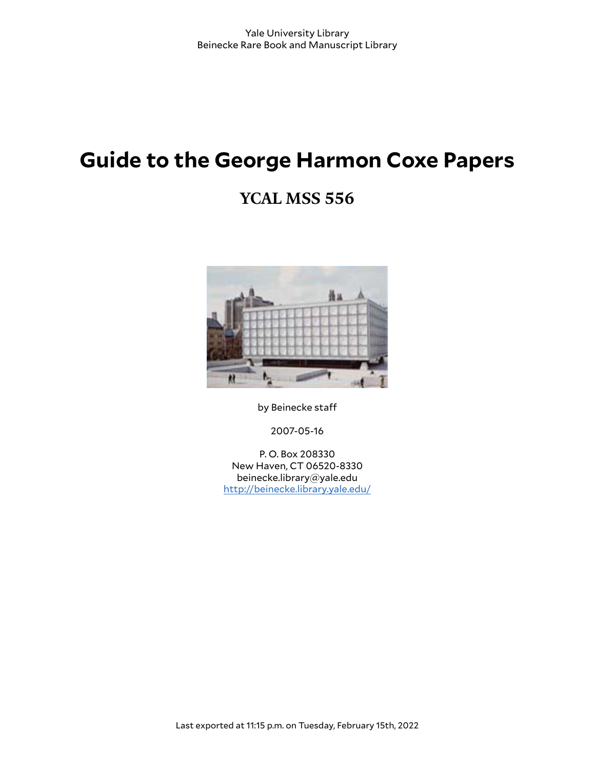# **Guide to the George Harmon Coxe Papers**

## **YCAL MSS 556**



by Beinecke staff

2007-05-16

P. O. Box 208330 New Haven, CT 06520-8330 beinecke.library@yale.edu <http://beinecke.library.yale.edu/>

Last exported at 11:15 p.m. on Tuesday, February 15th, 2022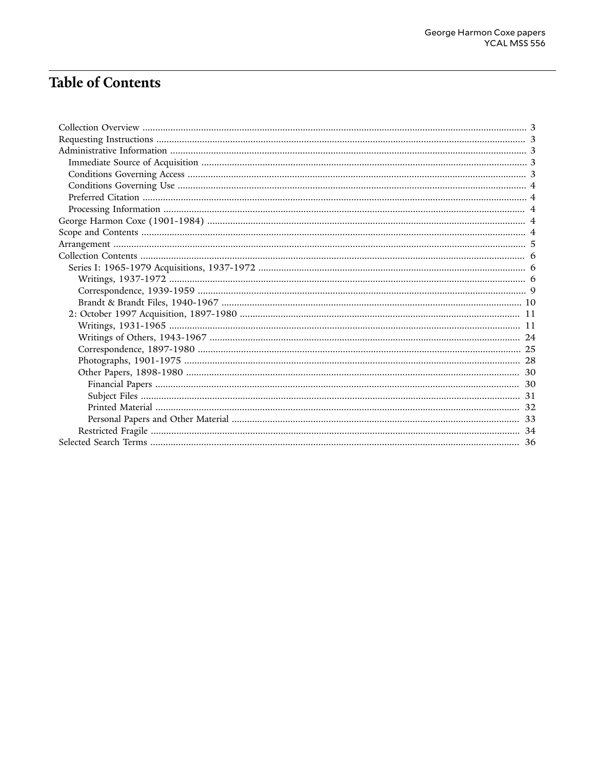## **Table of Contents**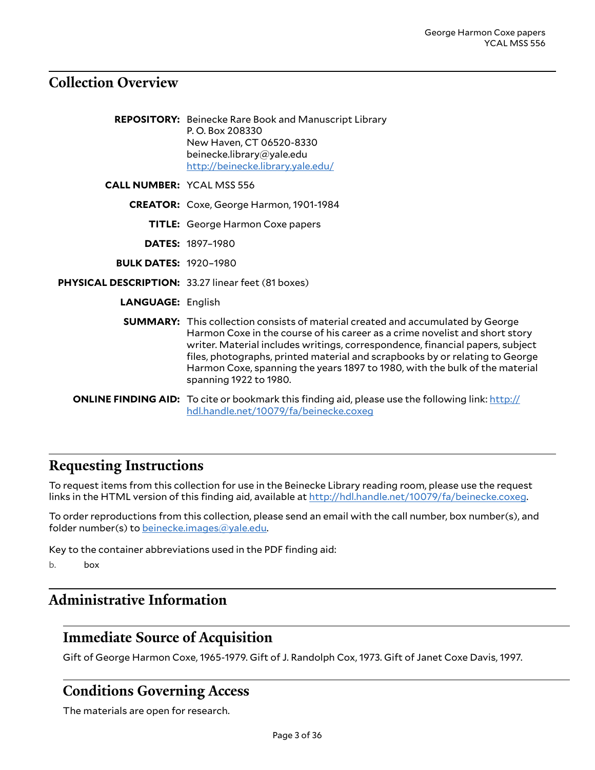## <span id="page-2-0"></span>**Collection Overview**

|                                  | <b>REPOSITORY:</b> Beinecke Rare Book and Manuscript Library<br>P.O. Box 208330<br>New Haven, CT 06520-8330<br>beinecke.library@yale.edu<br>http://beinecke.library.yale.edu/                                                                                                                                                                                                                                                                   |
|----------------------------------|-------------------------------------------------------------------------------------------------------------------------------------------------------------------------------------------------------------------------------------------------------------------------------------------------------------------------------------------------------------------------------------------------------------------------------------------------|
| <b>CALL NUMBER: YCAL MSS 556</b> |                                                                                                                                                                                                                                                                                                                                                                                                                                                 |
|                                  | CREATOR: Coxe, George Harmon, 1901-1984                                                                                                                                                                                                                                                                                                                                                                                                         |
|                                  | <b>TITLE:</b> George Harmon Coxe papers                                                                                                                                                                                                                                                                                                                                                                                                         |
|                                  | <b>DATES: 1897-1980</b>                                                                                                                                                                                                                                                                                                                                                                                                                         |
| <b>BULK DATES: 1920-1980</b>     |                                                                                                                                                                                                                                                                                                                                                                                                                                                 |
|                                  | PHYSICAL DESCRIPTION: 33.27 linear feet (81 boxes)                                                                                                                                                                                                                                                                                                                                                                                              |
| <b>LANGUAGE: English</b>         |                                                                                                                                                                                                                                                                                                                                                                                                                                                 |
|                                  | <b>SUMMARY:</b> This collection consists of material created and accumulated by George<br>Harmon Coxe in the course of his career as a crime novelist and short story<br>writer. Material includes writings, correspondence, financial papers, subject<br>files, photographs, printed material and scrapbooks by or relating to George<br>Harmon Coxe, spanning the years 1897 to 1980, with the bulk of the material<br>spanning 1922 to 1980. |
|                                  | <b>ONLINE FINDING AID:</b> To cite or bookmark this finding aid, please use the following link: http://<br>hdl.handle.net/10079/fa/beinecke.coxeq                                                                                                                                                                                                                                                                                               |

## <span id="page-2-1"></span>**Requesting Instructions**

To request items from this collection for use in the Beinecke Library reading room, please use the request links in the HTML version of this finding aid, available at [http://hdl.handle.net/10079/fa/beinecke.coxeg.](http://hdl.handle.net/10079/fa/beinecke.coxeg)

To order reproductions from this collection, please send an email with the call number, box number(s), and folder number(s) to [beinecke.images@yale.edu.](mailto:beinecke.images@yale.edu)

Key to the container abbreviations used in the PDF finding aid:

b. box

## <span id="page-2-2"></span>**Administrative Information**

## <span id="page-2-3"></span>**Immediate Source of Acquisition**

Gift of George Harmon Coxe, 1965-1979. Gift of J. Randolph Cox, 1973. Gift of Janet Coxe Davis, 1997.

## <span id="page-2-4"></span>**Conditions Governing Access**

The materials are open for research.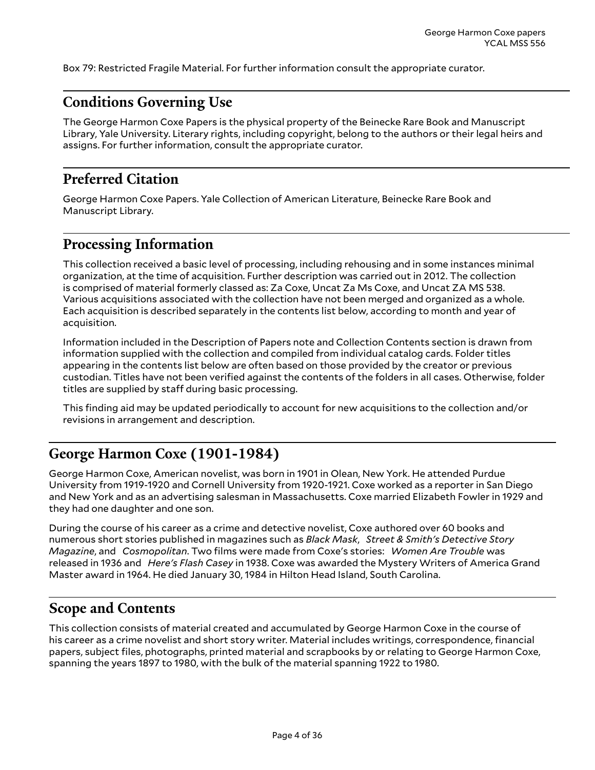Box 79: Restricted Fragile Material. For further information consult the appropriate curator.

## <span id="page-3-0"></span>**Conditions Governing Use**

The George Harmon Coxe Papers is the physical property of the Beinecke Rare Book and Manuscript Library, Yale University. Literary rights, including copyright, belong to the authors or their legal heirs and assigns. For further information, consult the appropriate curator.

## <span id="page-3-1"></span>**Preferred Citation**

George Harmon Coxe Papers. Yale Collection of American Literature, Beinecke Rare Book and Manuscript Library.

## <span id="page-3-2"></span>**Processing Information**

This collection received a basic level of processing, including rehousing and in some instances minimal organization, at the time of acquisition. Further description was carried out in 2012. The collection is comprised of material formerly classed as: Za Coxe, Uncat Za Ms Coxe, and Uncat ZA MS 538. Various acquisitions associated with the collection have not been merged and organized as a whole. Each acquisition is described separately in the contents list below, according to month and year of acquisition.

Information included in the Description of Papers note and Collection Contents section is drawn from information supplied with the collection and compiled from individual catalog cards. Folder titles appearing in the contents list below are often based on those provided by the creator or previous custodian. Titles have not been verified against the contents of the folders in all cases. Otherwise, folder titles are supplied by staff during basic processing.

This finding aid may be updated periodically to account for new acquisitions to the collection and/or revisions in arrangement and description.

## <span id="page-3-3"></span>**George Harmon Coxe (1901-1984)**

George Harmon Coxe, American novelist, was born in 1901 in Olean, New York. He attended Purdue University from 1919-1920 and Cornell University from 1920-1921. Coxe worked as a reporter in San Diego and New York and as an advertising salesman in Massachusetts. Coxe married Elizabeth Fowler in 1929 and they had one daughter and one son.

During the course of his career as a crime and detective novelist, Coxe authored over 60 books and numerous short stories published in magazines such as *Black Mask*, *Street & Smith's Detective Story Magazine*, and *Cosmopolitan*. Two films were made from Coxe's stories: *Women Are Trouble* was released in 1936 and *Here's Flash Casey* in 1938. Coxe was awarded the Mystery Writers of America Grand Master award in 1964. He died January 30, 1984 in Hilton Head Island, South Carolina.

## <span id="page-3-4"></span>**Scope and Contents**

This collection consists of material created and accumulated by George Harmon Coxe in the course of his career as a crime novelist and short story writer. Material includes writings, correspondence, financial papers, subject files, photographs, printed material and scrapbooks by or relating to George Harmon Coxe, spanning the years 1897 to 1980, with the bulk of the material spanning 1922 to 1980.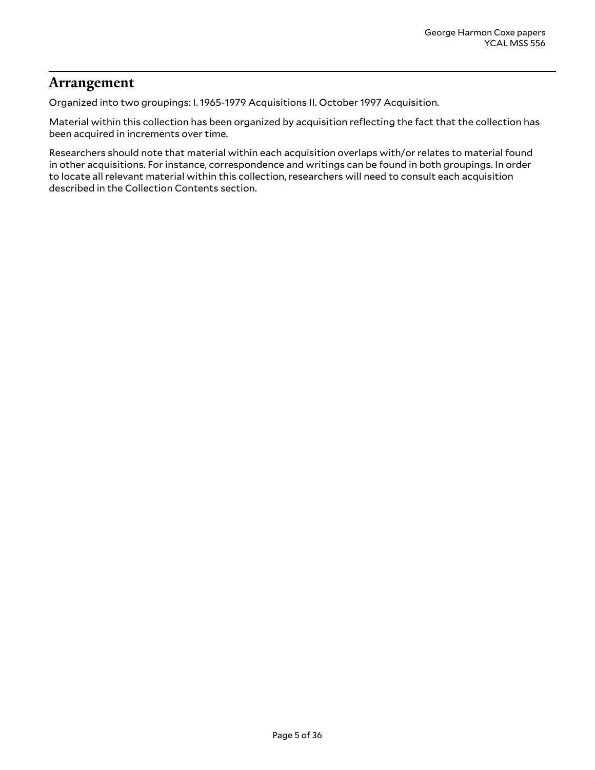## <span id="page-4-0"></span>**Arrangement**

Organized into two groupings: I. 1965-1979 Acquisitions II. October 1997 Acquisition.

Material within this collection has been organized by acquisition reflecting the fact that the collection has been acquired in increments over time.

Researchers should note that material within each acquisition overlaps with/or relates to material found in other acquisitions. For instance, correspondence and writings can be found in both groupings. In order to locate all relevant material within this collection, researchers will need to consult each acquisition described in the Collection Contents section.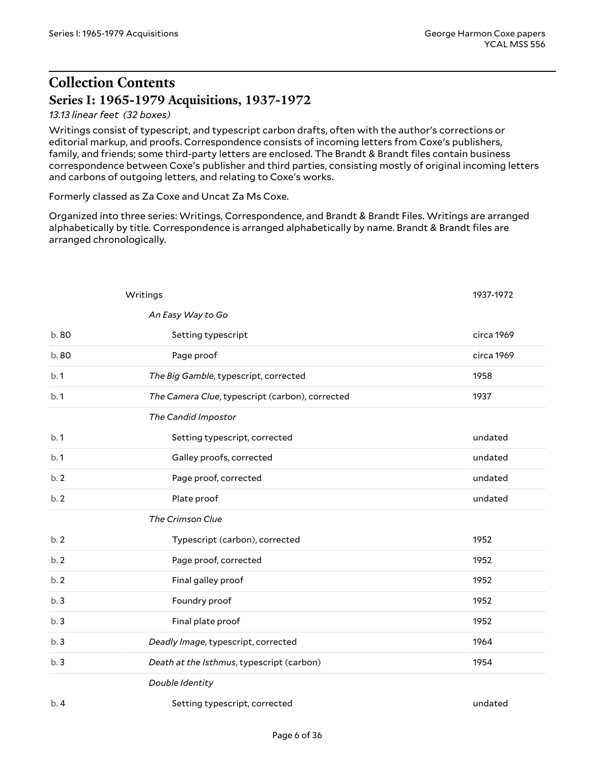## <span id="page-5-0"></span>**Collection Contents Series I: 1965-1979 Acquisitions, 1937-1972**

#### <span id="page-5-1"></span>*13.13 linear feet (32 boxes)*

Writings consist of typescript, and typescript carbon drafts, often with the author's corrections or editorial markup, and proofs. Correspondence consists of incoming letters from Coxe's publishers, family, and friends; some third-party letters are enclosed. The Brandt & Brandt files contain business correspondence between Coxe's publisher and third parties, consisting mostly of original incoming letters and carbons of outgoing letters, and relating to Coxe's works.

Formerly classed as Za Coxe and Uncat Za Ms Coxe.

Organized into three series: Writings, Correspondence, and Brandt & Brandt Files. Writings are arranged alphabetically by title. Correspondence is arranged alphabetically by name. Brandt & Brandt files are arranged chronologically.

<span id="page-5-2"></span>

|       | Writings                                        | 1937-1972  |
|-------|-------------------------------------------------|------------|
|       | An Easy Way to Go                               |            |
| b. 80 | Setting typescript                              | circa 1969 |
| b. 80 | Page proof                                      | circa 1969 |
| b.1   | The Big Gamble, typescript, corrected           | 1958       |
| b.1   | The Camera Clue, typescript (carbon), corrected | 1937       |
|       | The Candid Impostor                             |            |
| b.1   | Setting typescript, corrected                   | undated    |
| b.1   | Galley proofs, corrected                        | undated    |
| b.2   | Page proof, corrected                           | undated    |
| b.2   | Plate proof                                     | undated    |
|       | The Crimson Clue                                |            |
| b.2   | Typescript (carbon), corrected                  | 1952       |
| b.2   | Page proof, corrected                           | 1952       |
| b.2   | Final galley proof                              | 1952       |
| b.3   | Foundry proof                                   | 1952       |
| b.3   | Final plate proof                               | 1952       |
| b.3   | Deadly Image, typescript, corrected             | 1964       |
| b.3   | Death at the Isthmus, typescript (carbon)       | 1954       |
|       | Double Identity                                 |            |
| b.4   | Setting typescript, corrected                   | undated    |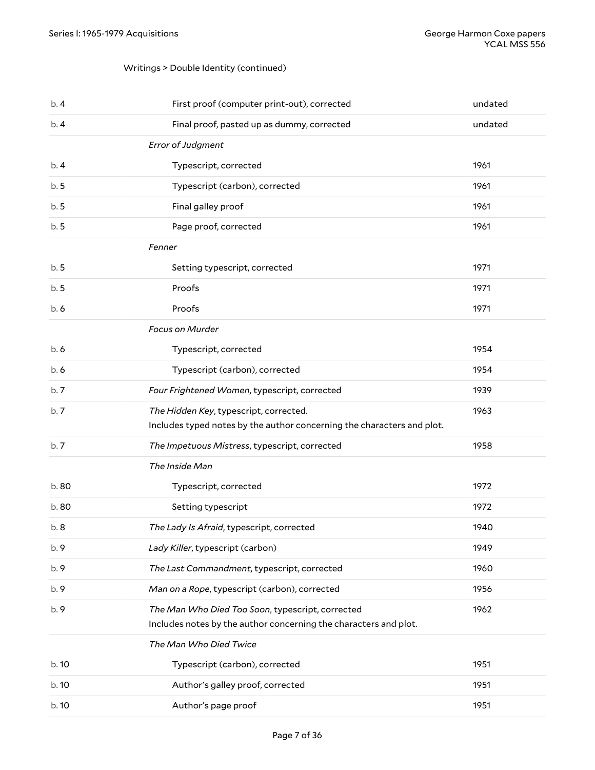#### Writings > Double Identity (continued)

| b.4   | First proof (computer print-out), corrected                                                                          | undated |
|-------|----------------------------------------------------------------------------------------------------------------------|---------|
| b.4   | Final proof, pasted up as dummy, corrected                                                                           | undated |
|       | Error of Judgment                                                                                                    |         |
| b.4   | Typescript, corrected                                                                                                | 1961    |
| b.5   | Typescript (carbon), corrected                                                                                       | 1961    |
| b.5   | Final galley proof                                                                                                   | 1961    |
| b.5   | Page proof, corrected                                                                                                | 1961    |
|       | Fenner                                                                                                               |         |
| b.5   | Setting typescript, corrected                                                                                        | 1971    |
| b.5   | Proofs                                                                                                               | 1971    |
| b.6   | Proofs                                                                                                               | 1971    |
|       | Focus on Murder                                                                                                      |         |
| b.6   | Typescript, corrected                                                                                                | 1954    |
| b. 6  | Typescript (carbon), corrected                                                                                       | 1954    |
| b.7   | Four Frightened Women, typescript, corrected                                                                         | 1939    |
| b.7   | The Hidden Key, typescript, corrected.<br>Includes typed notes by the author concerning the characters and plot.     | 1963    |
| b.7   | The Impetuous Mistress, typescript, corrected                                                                        | 1958    |
|       | The Inside Man                                                                                                       |         |
| b.80  | Typescript, corrected                                                                                                | 1972    |
| b.80  | Setting typescript                                                                                                   | 1972    |
| b.8   | The Lady Is Afraid, typescript, corrected                                                                            | 1940    |
| b.9   | Lady Killer, typescript (carbon)                                                                                     | 1949    |
| b. 9  | The Last Commandment, typescript, corrected                                                                          | 1960    |
| b.9   | Man on a Rope, typescript (carbon), corrected                                                                        | 1956    |
| b. 9  | The Man Who Died Too Soon, typescript, corrected<br>Includes notes by the author concerning the characters and plot. | 1962    |
|       | The Man Who Died Twice                                                                                               |         |
| b.10  | Typescript (carbon), corrected                                                                                       | 1951    |
| b. 10 | Author's galley proof, corrected                                                                                     | 1951    |
| b.10  | Author's page proof                                                                                                  | 1951    |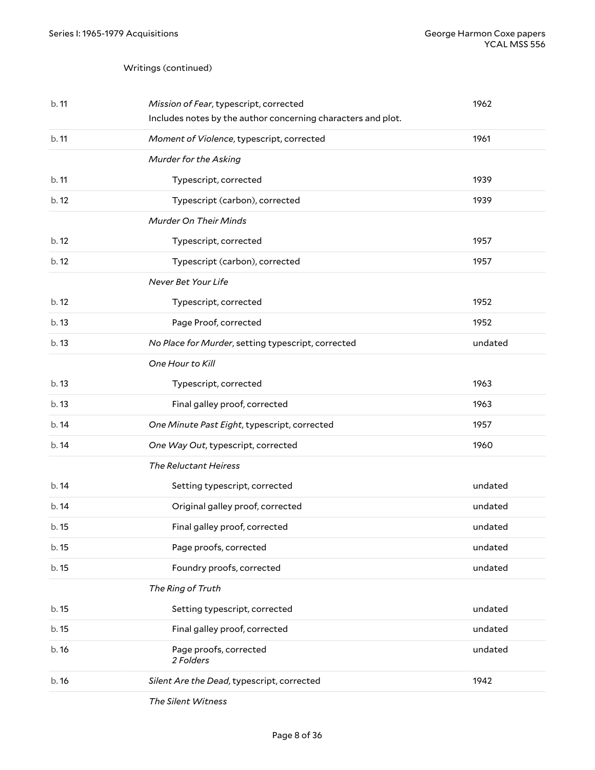| b. 11 | Mission of Fear, typescript, corrected<br>Includes notes by the author concerning characters and plot. | 1962    |
|-------|--------------------------------------------------------------------------------------------------------|---------|
| b.11  | Moment of Violence, typescript, corrected                                                              | 1961    |
|       | Murder for the Asking                                                                                  |         |
| b.11  | Typescript, corrected                                                                                  | 1939    |
| b.12  | Typescript (carbon), corrected                                                                         | 1939    |
|       | Murder On Their Minds                                                                                  |         |
| b.12  | Typescript, corrected                                                                                  | 1957    |
| b.12  | Typescript (carbon), corrected                                                                         | 1957    |
|       | Never Bet Your Life                                                                                    |         |
| b.12  | Typescript, corrected                                                                                  | 1952    |
| b.13  | Page Proof, corrected                                                                                  | 1952    |
| b.13  | No Place for Murder, setting typescript, corrected                                                     | undated |
|       | One Hour to Kill                                                                                       |         |
| b.13  | Typescript, corrected                                                                                  | 1963    |
| b.13  | Final galley proof, corrected                                                                          | 1963    |
| b.14  | One Minute Past Eight, typescript, corrected                                                           | 1957    |
| b.14  | One Way Out, typescript, corrected                                                                     | 1960    |
|       | The Reluctant Heiress                                                                                  |         |
| b.14  | Setting typescript, corrected                                                                          | undated |
| b.14  | Original galley proof, corrected                                                                       | undated |
| b.15  | Final galley proof, corrected                                                                          | undated |
| b.15  | Page proofs, corrected                                                                                 | undated |
| b. 15 | Foundry proofs, corrected                                                                              | undated |
|       | The Ring of Truth                                                                                      |         |
| b. 15 | Setting typescript, corrected                                                                          | undated |
| b. 15 | Final galley proof, corrected                                                                          | undated |
| b.16  | Page proofs, corrected<br>2 Folders                                                                    | undated |
| b.16  | Silent Are the Dead, typescript, corrected                                                             | 1942    |
|       |                                                                                                        |         |

*The Silent Witness*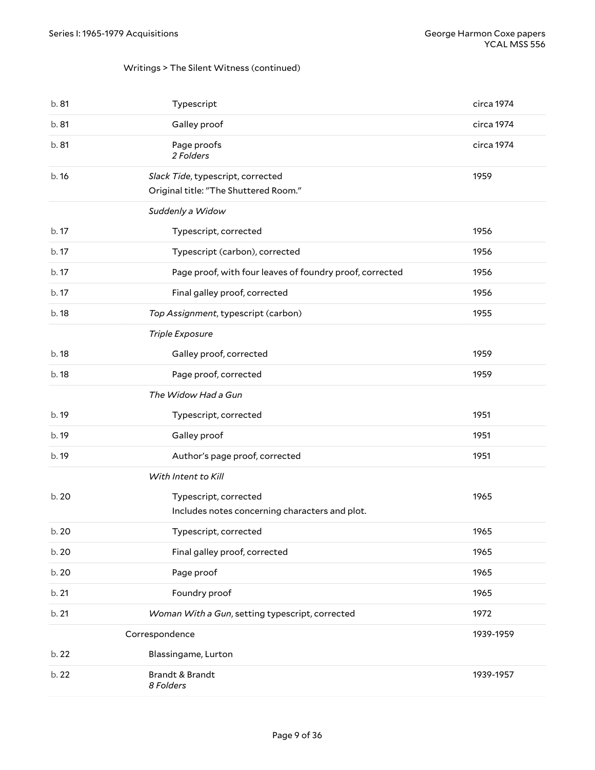## Writings > The Silent Witness (continued)

<span id="page-8-0"></span>

| b. 81 | Typescript                                                                 | circa 1974 |
|-------|----------------------------------------------------------------------------|------------|
| b. 81 | Galley proof                                                               | circa 1974 |
| b. 81 | Page proofs<br>2 Folders                                                   | circa 1974 |
| b.16  | Slack Tide, typescript, corrected<br>Original title: "The Shuttered Room." | 1959       |
|       | Suddenly a Widow                                                           |            |
| b. 17 | Typescript, corrected                                                      | 1956       |
| b. 17 | Typescript (carbon), corrected                                             | 1956       |
| b. 17 | Page proof, with four leaves of foundry proof, corrected                   | 1956       |
| b.17  | Final galley proof, corrected                                              | 1956       |
| b. 18 | Top Assignment, typescript (carbon)                                        | 1955       |
|       | Triple Exposure                                                            |            |
| b. 18 | Galley proof, corrected                                                    | 1959       |
| b. 18 | Page proof, corrected                                                      | 1959       |
|       | The Widow Had a Gun                                                        |            |
| b. 19 | Typescript, corrected                                                      | 1951       |
| b. 19 | Galley proof                                                               | 1951       |
| b. 19 | Author's page proof, corrected                                             | 1951       |
|       | With Intent to Kill                                                        |            |
| b. 20 | Typescript, corrected<br>Includes notes concerning characters and plot.    | 1965       |
| b. 20 | Typescript, corrected                                                      | 1965       |
| b. 20 | Final galley proof, corrected                                              | 1965       |
| b. 20 | Page proof                                                                 | 1965       |
| b. 21 | Foundry proof                                                              | 1965       |
| b. 21 | Woman With a Gun, setting typescript, corrected                            | 1972       |
|       | Correspondence                                                             | 1939-1959  |
| b. 22 | Blassingame, Lurton                                                        |            |
| b. 22 | Brandt & Brandt<br>8 Folders                                               | 1939-1957  |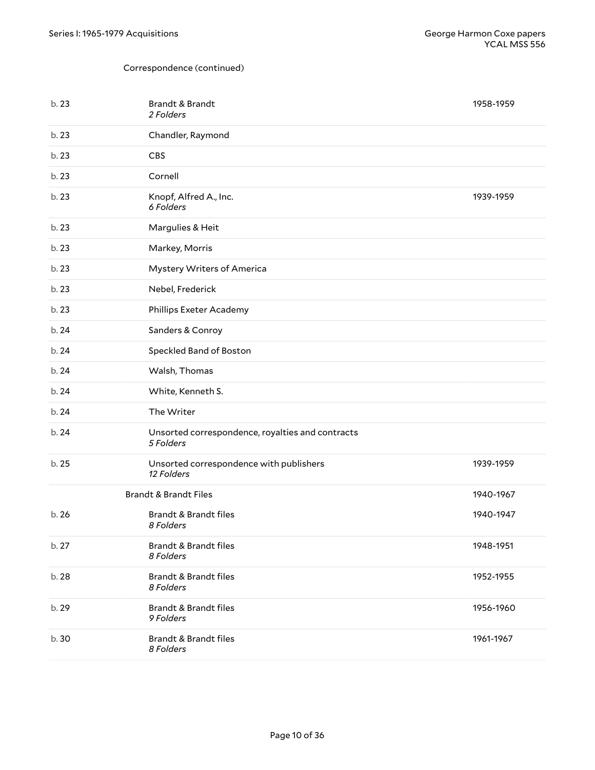<span id="page-9-0"></span>

| b.23  | Brandt & Brandt<br>2 Folders                                  | 1958-1959 |
|-------|---------------------------------------------------------------|-----------|
| b. 23 | Chandler, Raymond                                             |           |
| b. 23 | <b>CBS</b>                                                    |           |
| b. 23 | Cornell                                                       |           |
| b.23  | Knopf, Alfred A., Inc.<br>6 Folders                           | 1939-1959 |
| b. 23 | Margulies & Heit                                              |           |
| b. 23 | Markey, Morris                                                |           |
| b. 23 | Mystery Writers of America                                    |           |
| b.23  | Nebel, Frederick                                              |           |
| b. 23 | Phillips Exeter Academy                                       |           |
| b. 24 | Sanders & Conroy                                              |           |
| b. 24 | Speckled Band of Boston                                       |           |
| b. 24 | Walsh, Thomas                                                 |           |
| b. 24 | White, Kenneth S.                                             |           |
| b. 24 | The Writer                                                    |           |
| b. 24 | Unsorted correspondence, royalties and contracts<br>5 Folders |           |
| b. 25 | Unsorted correspondence with publishers<br>12 Folders         | 1939-1959 |
|       | <b>Brandt &amp; Brandt Files</b>                              | 1940-1967 |
| b.26  | Brandt & Brandt files<br>8 Folders                            | 1940-1947 |
| b. 27 | <b>Brandt &amp; Brandt files</b><br>8 Folders                 | 1948-1951 |
| b. 28 | <b>Brandt &amp; Brandt files</b><br>8 Folders                 | 1952-1955 |
| b. 29 | <b>Brandt &amp; Brandt files</b><br>9 Folders                 | 1956-1960 |
| b. 30 | <b>Brandt &amp; Brandt files</b><br>8 Folders                 | 1961-1967 |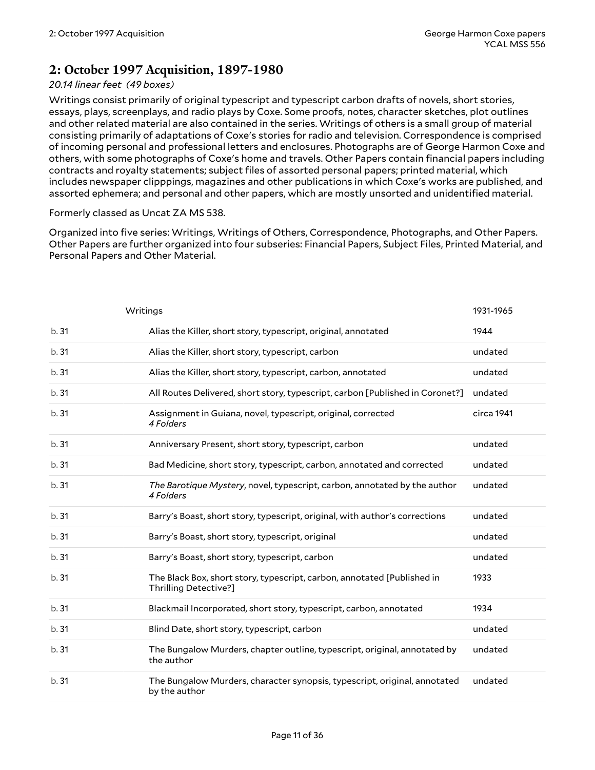## <span id="page-10-0"></span>**2: October 1997 Acquisition, 1897-1980**

#### *20.14 linear feet (49 boxes)*

Writings consist primarily of original typescript and typescript carbon drafts of novels, short stories, essays, plays, screenplays, and radio plays by Coxe. Some proofs, notes, character sketches, plot outlines and other related material are also contained in the series. Writings of others is a small group of material consisting primarily of adaptations of Coxe's stories for radio and television. Correspondence is comprised of incoming personal and professional letters and enclosures. Photographs are of George Harmon Coxe and others, with some photographs of Coxe's home and travels. Other Papers contain financial papers including contracts and royalty statements; subject files of assorted personal papers; printed material, which includes newspaper clipppings, magazines and other publications in which Coxe's works are published, and assorted ephemera; and personal and other papers, which are mostly unsorted and unidentified material.

#### Formerly classed as Uncat ZA MS 538.

Organized into five series: Writings, Writings of Others, Correspondence, Photographs, and Other Papers. Other Papers are further organized into four subseries: Financial Papers, Subject Files, Printed Material, and Personal Papers and Other Material.

<span id="page-10-1"></span>

|      | Writings                                                                                         | 1931-1965  |
|------|--------------------------------------------------------------------------------------------------|------------|
| b.31 | Alias the Killer, short story, typescript, original, annotated                                   | 1944       |
| b.31 | Alias the Killer, short story, typescript, carbon                                                | undated    |
| b.31 | Alias the Killer, short story, typescript, carbon, annotated                                     | undated    |
| b.31 | All Routes Delivered, short story, typescript, carbon [Published in Coronet?]                    | undated    |
| b.31 | Assignment in Guiana, novel, typescript, original, corrected<br>4 Folders                        | circa 1941 |
| b.31 | Anniversary Present, short story, typescript, carbon                                             | undated    |
| b.31 | Bad Medicine, short story, typescript, carbon, annotated and corrected                           | undated    |
| b.31 | The Barotique Mystery, novel, typescript, carbon, annotated by the author<br>4 Folders           | undated    |
| b.31 | Barry's Boast, short story, typescript, original, with author's corrections                      | undated    |
| b.31 | Barry's Boast, short story, typescript, original                                                 | undated    |
| b.31 | Barry's Boast, short story, typescript, carbon                                                   | undated    |
| b.31 | The Black Box, short story, typescript, carbon, annotated [Published in<br>Thrilling Detective?] | 1933       |
| b.31 | Blackmail Incorporated, short story, typescript, carbon, annotated                               | 1934       |
| b.31 | Blind Date, short story, typescript, carbon                                                      | undated    |
| b.31 | The Bungalow Murders, chapter outline, typescript, original, annotated by<br>the author          | undated    |
| b.31 | The Bungalow Murders, character synopsis, typescript, original, annotated<br>by the author       | undated    |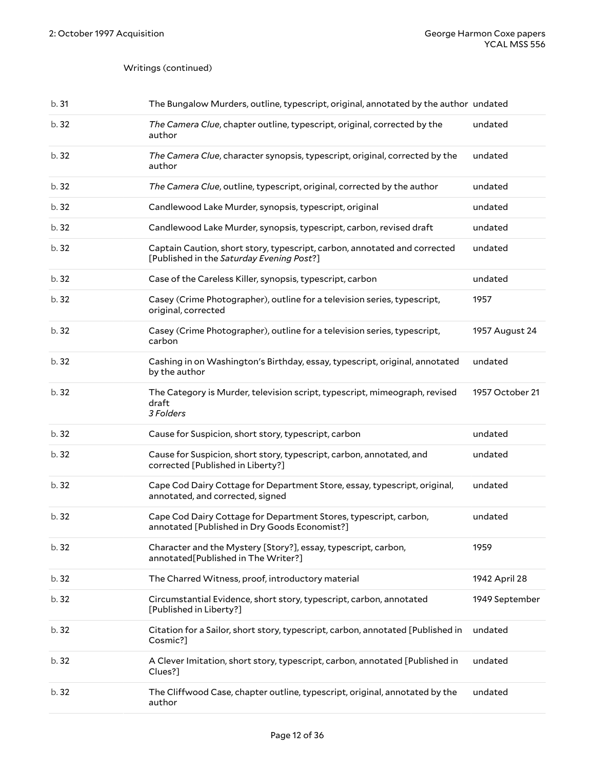| b.31  | The Bungalow Murders, outline, typescript, original, annotated by the author undated                                   |                 |
|-------|------------------------------------------------------------------------------------------------------------------------|-----------------|
| b. 32 | The Camera Clue, chapter outline, typescript, original, corrected by the<br>author                                     | undated         |
| b.32  | The Camera Clue, character synopsis, typescript, original, corrected by the<br>author                                  | undated         |
| b.32  | The Camera Clue, outline, typescript, original, corrected by the author                                                | undated         |
| b.32  | Candlewood Lake Murder, synopsis, typescript, original                                                                 | undated         |
| b.32  | Candlewood Lake Murder, synopsis, typescript, carbon, revised draft                                                    | undated         |
| b.32  | Captain Caution, short story, typescript, carbon, annotated and corrected<br>[Published in the Saturday Evening Post?] | undated         |
| b. 32 | Case of the Careless Killer, synopsis, typescript, carbon                                                              | undated         |
| b. 32 | Casey (Crime Photographer), outline for a television series, typescript,<br>original, corrected                        | 1957            |
| b.32  | Casey (Crime Photographer), outline for a television series, typescript,<br>carbon                                     | 1957 August 24  |
| b. 32 | Cashing in on Washington's Birthday, essay, typescript, original, annotated<br>by the author                           | undated         |
| b.32  | The Category is Murder, television script, typescript, mimeograph, revised<br>draft<br>3 Folders                       | 1957 October 21 |
| b.32  | Cause for Suspicion, short story, typescript, carbon                                                                   | undated         |
| b.32  | Cause for Suspicion, short story, typescript, carbon, annotated, and<br>corrected [Published in Liberty?]              | undated         |
| b.32  | Cape Cod Dairy Cottage for Department Store, essay, typescript, original,<br>annotated, and corrected, signed          | undated         |
| b.32  | Cape Cod Dairy Cottage for Department Stores, typescript, carbon,<br>annotated [Published in Dry Goods Economist?]     | undated         |
| b.32  | Character and the Mystery [Story?], essay, typescript, carbon,<br>annotated[Published in The Writer?]                  | 1959            |
| b. 32 | The Charred Witness, proof, introductory material                                                                      | 1942 April 28   |
| b.32  | Circumstantial Evidence, short story, typescript, carbon, annotated<br>[Published in Liberty?]                         | 1949 September  |
| b.32  | Citation for a Sailor, short story, typescript, carbon, annotated [Published in<br>Cosmic?]                            | undated         |
| b.32  | A Clever Imitation, short story, typescript, carbon, annotated [Published in<br>Clues?]                                | undated         |
| b. 32 | The Cliffwood Case, chapter outline, typescript, original, annotated by the<br>author                                  | undated         |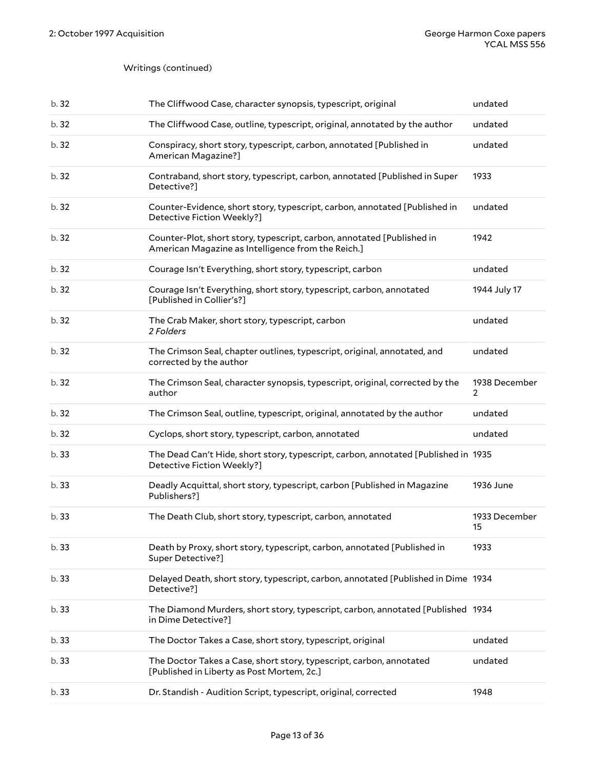| b.32  | The Cliffwood Case, character synopsis, typescript, original                                                                 | undated             |
|-------|------------------------------------------------------------------------------------------------------------------------------|---------------------|
| b.32  | The Cliffwood Case, outline, typescript, original, annotated by the author                                                   | undated             |
| b.32  | Conspiracy, short story, typescript, carbon, annotated [Published in<br>American Magazine?]                                  | undated             |
| b.32  | Contraband, short story, typescript, carbon, annotated [Published in Super<br>Detective?]                                    | 1933                |
| b.32  | Counter-Evidence, short story, typescript, carbon, annotated [Published in<br>Detective Fiction Weekly?]                     | undated             |
| b.32  | Counter-Plot, short story, typescript, carbon, annotated [Published in<br>American Magazine as Intelligence from the Reich.] | 1942                |
| b.32  | Courage Isn't Everything, short story, typescript, carbon                                                                    | undated             |
| b.32  | Courage Isn't Everything, short story, typescript, carbon, annotated<br>[Published in Collier's?]                            | 1944 July 17        |
| b.32  | The Crab Maker, short story, typescript, carbon<br>2 Folders                                                                 | undated             |
| b.32  | The Crimson Seal, chapter outlines, typescript, original, annotated, and<br>corrected by the author                          | undated             |
| b.32  | The Crimson Seal, character synopsis, typescript, original, corrected by the<br>author                                       | 1938 December<br>2  |
| b.32  | The Crimson Seal, outline, typescript, original, annotated by the author                                                     | undated             |
| b. 32 | Cyclops, short story, typescript, carbon, annotated                                                                          | undated             |
| b.33  | The Dead Can't Hide, short story, typescript, carbon, annotated [Published in 1935<br>Detective Fiction Weekly?]             |                     |
| b.33  | Deadly Acquittal, short story, typescript, carbon [Published in Magazine<br>Publishers?]                                     | 1936 June           |
| b.33  | The Death Club, short story, typescript, carbon, annotated                                                                   | 1933 December<br>15 |
| b.33  | Death by Proxy, short story, typescript, carbon, annotated [Published in<br>Super Detective?]                                | 1933                |
| b.33  | Delayed Death, short story, typescript, carbon, annotated [Published in Dime 1934<br>Detective?]                             |                     |
| b.33  | The Diamond Murders, short story, typescript, carbon, annotated [Published 1934<br>in Dime Detective?]                       |                     |
| b.33  | The Doctor Takes a Case, short story, typescript, original                                                                   | undated             |
| b.33  | The Doctor Takes a Case, short story, typescript, carbon, annotated<br>[Published in Liberty as Post Mortem, 2c.]            | undated             |
| b.33  | Dr. Standish - Audition Script, typescript, original, corrected                                                              | 1948                |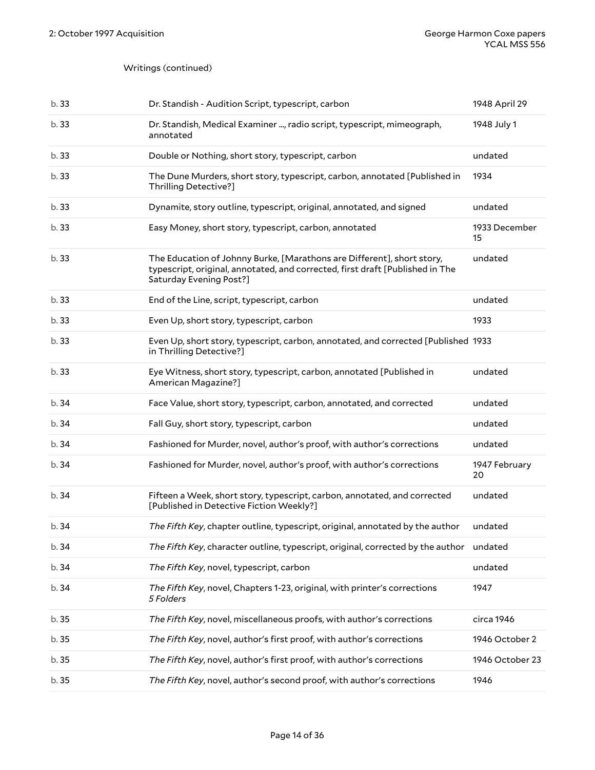| b.33  | Dr. Standish - Audition Script, typescript, carbon                                                                                                                                 | 1948 April 29       |
|-------|------------------------------------------------------------------------------------------------------------------------------------------------------------------------------------|---------------------|
| b.33  | Dr. Standish, Medical Examiner , radio script, typescript, mimeograph,<br>annotated                                                                                                | 1948 July 1         |
| b.33  | Double or Nothing, short story, typescript, carbon                                                                                                                                 | undated             |
| b.33  | The Dune Murders, short story, typescript, carbon, annotated [Published in<br>Thrilling Detective?]                                                                                | 1934                |
| b.33  | Dynamite, story outline, typescript, original, annotated, and signed                                                                                                               | undated             |
| b.33  | Easy Money, short story, typescript, carbon, annotated                                                                                                                             | 1933 December<br>15 |
| b.33  | The Education of Johnny Burke, [Marathons are Different], short story,<br>typescript, original, annotated, and corrected, first draft [Published in The<br>Saturday Evening Post?] | undated             |
| b.33  | End of the Line, script, typescript, carbon                                                                                                                                        | undated             |
| b.33  | Even Up, short story, typescript, carbon                                                                                                                                           | 1933                |
| b.33  | Even Up, short story, typescript, carbon, annotated, and corrected [Published 1933<br>in Thrilling Detective?]                                                                     |                     |
| b.33  | Eye Witness, short story, typescript, carbon, annotated [Published in<br>American Magazine?]                                                                                       | undated             |
|       |                                                                                                                                                                                    |                     |
| b.34  | Face Value, short story, typescript, carbon, annotated, and corrected                                                                                                              | undated             |
| b.34  | Fall Guy, short story, typescript, carbon                                                                                                                                          | undated             |
| b.34  | Fashioned for Murder, novel, author's proof, with author's corrections                                                                                                             | undated             |
| b.34  | Fashioned for Murder, novel, author's proof, with author's corrections                                                                                                             | 1947 February<br>20 |
| b.34  | Fifteen a Week, short story, typescript, carbon, annotated, and corrected<br>[Published in Detective Fiction Weekly?]                                                              | undated             |
| b.34  | The Fifth Key, chapter outline, typescript, original, annotated by the author                                                                                                      | undated             |
| b.34  | The Fifth Key, character outline, typescript, original, corrected by the author undated                                                                                            |                     |
| b.34  | The Fifth Key, novel, typescript, carbon                                                                                                                                           | undated             |
| b. 34 | The Fifth Key, novel, Chapters 1-23, original, with printer's corrections<br>5 Folders                                                                                             | 1947                |
| b.35  | The Fifth Key, novel, miscellaneous proofs, with author's corrections                                                                                                              | circa 1946          |
| b.35  | The Fifth Key, novel, author's first proof, with author's corrections                                                                                                              | 1946 October 2      |
| b. 35 | The Fifth Key, novel, author's first proof, with author's corrections                                                                                                              | 1946 October 23     |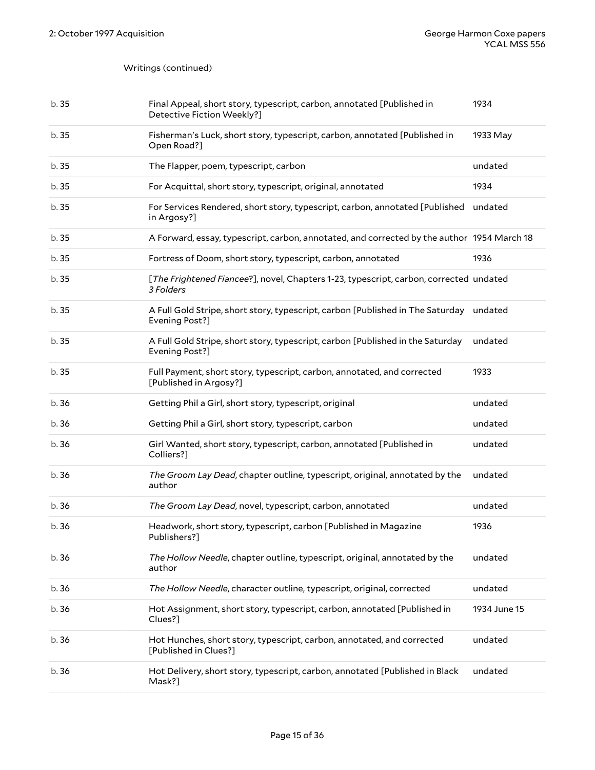| b.35  | Final Appeal, short story, typescript, carbon, annotated [Published in<br>Detective Fiction Weekly?]     | 1934         |
|-------|----------------------------------------------------------------------------------------------------------|--------------|
| b.35  | Fisherman's Luck, short story, typescript, carbon, annotated [Published in<br>Open Road?]                | 1933 May     |
| b.35  | The Flapper, poem, typescript, carbon                                                                    | undated      |
| b.35  | For Acquittal, short story, typescript, original, annotated                                              | 1934         |
| b.35  | For Services Rendered, short story, typescript, carbon, annotated [Published<br>in Argosy?]              | undated      |
| b.35  | A Forward, essay, typescript, carbon, annotated, and corrected by the author 1954 March 18               |              |
| b.35  | Fortress of Doom, short story, typescript, carbon, annotated                                             | 1936         |
| b.35  | [The Frightened Fiancee?], novel, Chapters 1-23, typescript, carbon, corrected undated<br>3 Folders      |              |
| b.35  | A Full Gold Stripe, short story, typescript, carbon [Published in The Saturday undated<br>Evening Post?] |              |
| b.35  | A Full Gold Stripe, short story, typescript, carbon [Published in the Saturday<br>Evening Post?]         | undated      |
| b.35  | Full Payment, short story, typescript, carbon, annotated, and corrected<br>[Published in Argosy?]        | 1933         |
| b.36  | Getting Phil a Girl, short story, typescript, original                                                   | undated      |
| b.36  | Getting Phil a Girl, short story, typescript, carbon                                                     | undated      |
| b.36  | Girl Wanted, short story, typescript, carbon, annotated [Published in<br>Colliers?]                      | undated      |
| b.36  | The Groom Lay Dead, chapter outline, typescript, original, annotated by the<br>author                    | undated      |
| b.36  | The Groom Lay Dead, novel, typescript, carbon, annotated                                                 | undated      |
| b.36  | Headwork, short story, typescript, carbon [Published in Magazine<br>Publishers?]                         | 1936         |
| b.36  | The Hollow Needle, chapter outline, typescript, original, annotated by the<br>author                     | undated      |
| b.36  | The Hollow Needle, character outline, typescript, original, corrected                                    | undated      |
| b.36  | Hot Assignment, short story, typescript, carbon, annotated [Published in<br>Clues?]                      | 1934 June 15 |
| b. 36 | Hot Hunches, short story, typescript, carbon, annotated, and corrected<br>[Published in Clues?]          | undated      |
| b.36  | Hot Delivery, short story, typescript, carbon, annotated [Published in Black<br>Mask?]                   | undated      |
|       |                                                                                                          |              |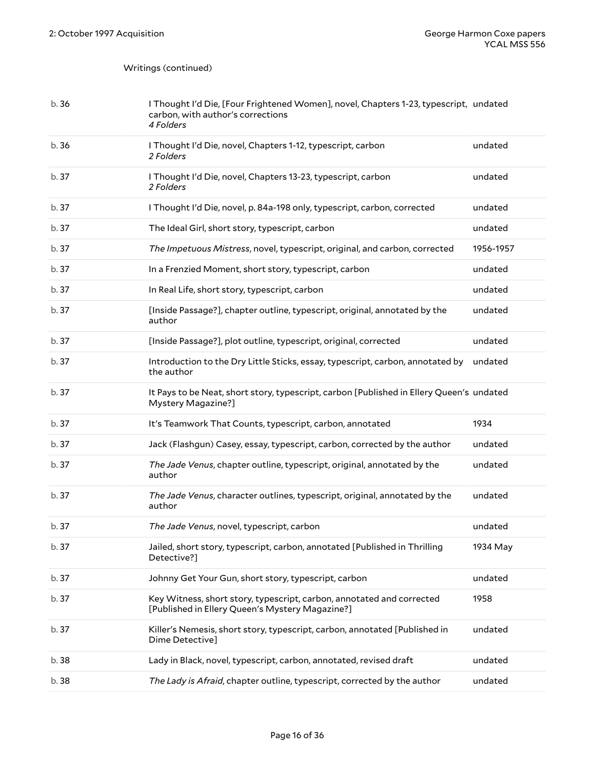| b. 36 | I Thought I'd Die, [Four Frightened Women], novel, Chapters 1-23, typescript, undated<br>carbon, with author's corrections<br>4 Folders |           |
|-------|-----------------------------------------------------------------------------------------------------------------------------------------|-----------|
| b.36  | I Thought I'd Die, novel, Chapters 1-12, typescript, carbon<br>2 Folders                                                                | undated   |
| b.37  | I Thought I'd Die, novel, Chapters 13-23, typescript, carbon<br>2 Folders                                                               | undated   |
| b. 37 | I Thought I'd Die, novel, p. 84a-198 only, typescript, carbon, corrected                                                                | undated   |
| b. 37 | The Ideal Girl, short story, typescript, carbon                                                                                         | undated   |
| b. 37 | The Impetuous Mistress, novel, typescript, original, and carbon, corrected                                                              | 1956-1957 |
| b. 37 | In a Frenzied Moment, short story, typescript, carbon                                                                                   | undated   |
| b. 37 | In Real Life, short story, typescript, carbon                                                                                           | undated   |
| b. 37 | [Inside Passage?], chapter outline, typescript, original, annotated by the<br>author                                                    | undated   |
| b. 37 | [Inside Passage?], plot outline, typescript, original, corrected                                                                        | undated   |
| b. 37 | Introduction to the Dry Little Sticks, essay, typescript, carbon, annotated by<br>the author                                            | undated   |
| b.37  | It Pays to be Neat, short story, typescript, carbon [Published in Ellery Queen's undated<br>Mystery Magazine?]                          |           |
| b. 37 | It's Teamwork That Counts, typescript, carbon, annotated                                                                                | 1934      |
| b.37  | Jack (Flashgun) Casey, essay, typescript, carbon, corrected by the author                                                               | undated   |
| b. 37 | The Jade Venus, chapter outline, typescript, original, annotated by the<br>author                                                       | undated   |
| b.37  | The Jade Venus, character outlines, typescript, original, annotated by the<br>author                                                    | undated   |
| b.37  | The Jade Venus, novel, typescript, carbon                                                                                               | undated   |
| b. 37 | Jailed, short story, typescript, carbon, annotated [Published in Thrilling<br>Detective?]                                               | 1934 May  |
| b. 37 | Johnny Get Your Gun, short story, typescript, carbon                                                                                    | undated   |
| b.37  | Key Witness, short story, typescript, carbon, annotated and corrected<br>[Published in Ellery Queen's Mystery Magazine?]                | 1958      |
| b.37  | Killer's Nemesis, short story, typescript, carbon, annotated [Published in<br>Dime Detective]                                           | undated   |
| b. 38 | Lady in Black, novel, typescript, carbon, annotated, revised draft                                                                      | undated   |
| b.38  | The Lady is Afraid, chapter outline, typescript, corrected by the author                                                                | undated   |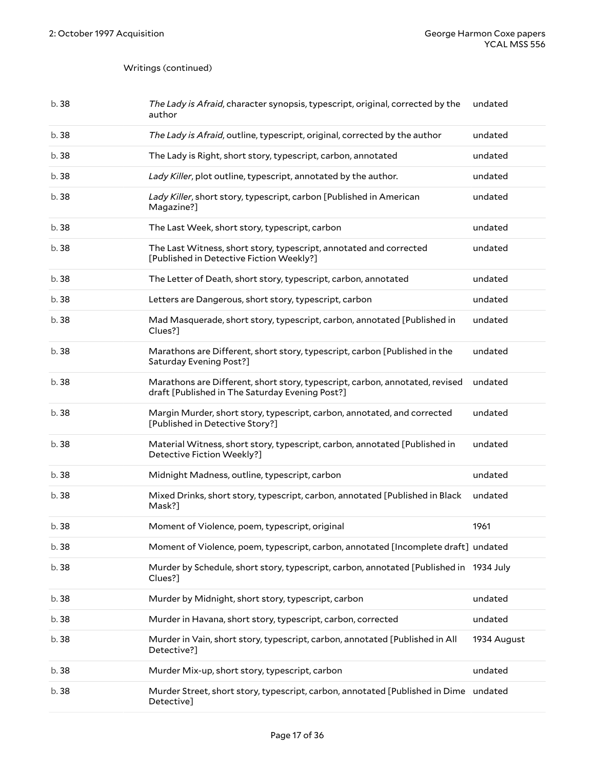| b. 38 | The Lady is Afraid, character synopsis, typescript, original, corrected by the<br>author                                        | undated     |
|-------|---------------------------------------------------------------------------------------------------------------------------------|-------------|
| b. 38 | The Lady is Afraid, outline, typescript, original, corrected by the author                                                      | undated     |
| b. 38 | The Lady is Right, short story, typescript, carbon, annotated                                                                   | undated     |
| b. 38 | Lady Killer, plot outline, typescript, annotated by the author.                                                                 | undated     |
| b. 38 | Lady Killer, short story, typescript, carbon [Published in American<br>Magazine?]                                               | undated     |
| b. 38 | The Last Week, short story, typescript, carbon                                                                                  | undated     |
| b. 38 | The Last Witness, short story, typescript, annotated and corrected<br>[Published in Detective Fiction Weekly?]                  | undated     |
| b. 38 | The Letter of Death, short story, typescript, carbon, annotated                                                                 | undated     |
| b. 38 | Letters are Dangerous, short story, typescript, carbon                                                                          | undated     |
| b. 38 | Mad Masquerade, short story, typescript, carbon, annotated [Published in<br>Clues?]                                             | undated     |
| b. 38 | Marathons are Different, short story, typescript, carbon [Published in the<br>Saturday Evening Post?]                           | undated     |
| b. 38 | Marathons are Different, short story, typescript, carbon, annotated, revised<br>draft [Published in The Saturday Evening Post?] | undated     |
| b. 38 | Margin Murder, short story, typescript, carbon, annotated, and corrected<br>[Published in Detective Story?]                     | undated     |
| b. 38 | Material Witness, short story, typescript, carbon, annotated [Published in<br>Detective Fiction Weekly?]                        | undated     |
| b.38  | Midnight Madness, outline, typescript, carbon                                                                                   | undated     |
| b.38  | Mixed Drinks, short story, typescript, carbon, annotated [Published in Black<br>Mask?]                                          | undated     |
| b. 38 | Moment of Violence, poem, typescript, original                                                                                  | 1961        |
| b. 38 | Moment of Violence, poem, typescript, carbon, annotated [Incomplete draft] undated                                              |             |
| b. 38 | Murder by Schedule, short story, typescript, carbon, annotated [Published in 1934 July<br>Clues?]                               |             |
| b. 38 | Murder by Midnight, short story, typescript, carbon                                                                             | undated     |
| b. 38 | Murder in Havana, short story, typescript, carbon, corrected                                                                    | undated     |
| b. 38 | Murder in Vain, short story, typescript, carbon, annotated [Published in All<br>Detective?]                                     | 1934 August |
| b. 38 | Murder Mix-up, short story, typescript, carbon                                                                                  | undated     |
| b.38  | Murder Street, short story, typescript, carbon, annotated [Published in Dime undated<br>Detective]                              |             |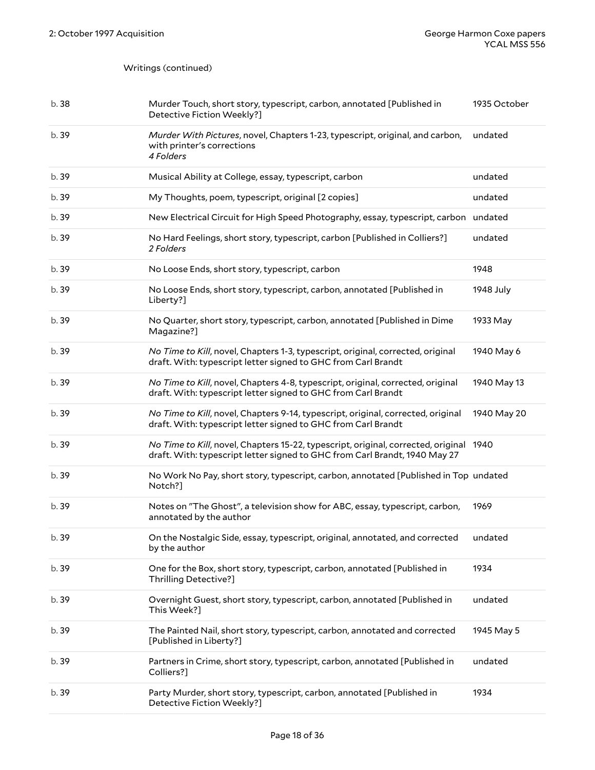| b.38  | Murder Touch, short story, typescript, carbon, annotated [Published in<br>Detective Fiction Weekly?]                                                                 | 1935 October |
|-------|----------------------------------------------------------------------------------------------------------------------------------------------------------------------|--------------|
| b.39  | Murder With Pictures, novel, Chapters 1-23, typescript, original, and carbon,<br>with printer's corrections<br>4 Folders                                             | undated      |
| b. 39 | Musical Ability at College, essay, typescript, carbon                                                                                                                | undated      |
| b.39  | My Thoughts, poem, typescript, original [2 copies]                                                                                                                   | undated      |
| b. 39 | New Electrical Circuit for High Speed Photography, essay, typescript, carbon undated                                                                                 |              |
| b. 39 | No Hard Feelings, short story, typescript, carbon [Published in Colliers?]<br>2 Folders                                                                              | undated      |
| b. 39 | No Loose Ends, short story, typescript, carbon                                                                                                                       | 1948         |
| b. 39 | No Loose Ends, short story, typescript, carbon, annotated [Published in<br>Liberty?]                                                                                 | 1948 July    |
| b.39  | No Quarter, short story, typescript, carbon, annotated [Published in Dime<br>Magazine?]                                                                              | 1933 May     |
| b. 39 | No Time to Kill, novel, Chapters 1-3, typescript, original, corrected, original<br>draft. With: typescript letter signed to GHC from Carl Brandt                     | 1940 May 6   |
| b. 39 | No Time to Kill, novel, Chapters 4-8, typescript, original, corrected, original<br>draft. With: typescript letter signed to GHC from Carl Brandt                     | 1940 May 13  |
| b. 39 | No Time to Kill, novel, Chapters 9-14, typescript, original, corrected, original<br>draft. With: typescript letter signed to GHC from Carl Brandt                    | 1940 May 20  |
| b. 39 | No Time to Kill, novel, Chapters 15-22, typescript, original, corrected, original 1940<br>draft. With: typescript letter signed to GHC from Carl Brandt, 1940 May 27 |              |
| b. 39 | No Work No Pay, short story, typescript, carbon, annotated [Published in Top undated<br>Notch?]                                                                      |              |
| b. 39 | Notes on "The Ghost", a television show for ABC, essay, typescript, carbon,<br>annotated by the author                                                               | 1969         |
| b. 39 | On the Nostalgic Side, essay, typescript, original, annotated, and corrected<br>by the author                                                                        | undated      |
| b. 39 | One for the Box, short story, typescript, carbon, annotated [Published in<br>Thrilling Detective?]                                                                   | 1934         |
| b. 39 | Overnight Guest, short story, typescript, carbon, annotated [Published in<br>This Week?]                                                                             | undated      |
| b. 39 | The Painted Nail, short story, typescript, carbon, annotated and corrected<br>[Published in Liberty?]                                                                | 1945 May 5   |
| b. 39 | Partners in Crime, short story, typescript, carbon, annotated [Published in<br>Colliers?]                                                                            | undated      |
| b. 39 | Party Murder, short story, typescript, carbon, annotated [Published in                                                                                               | 1934         |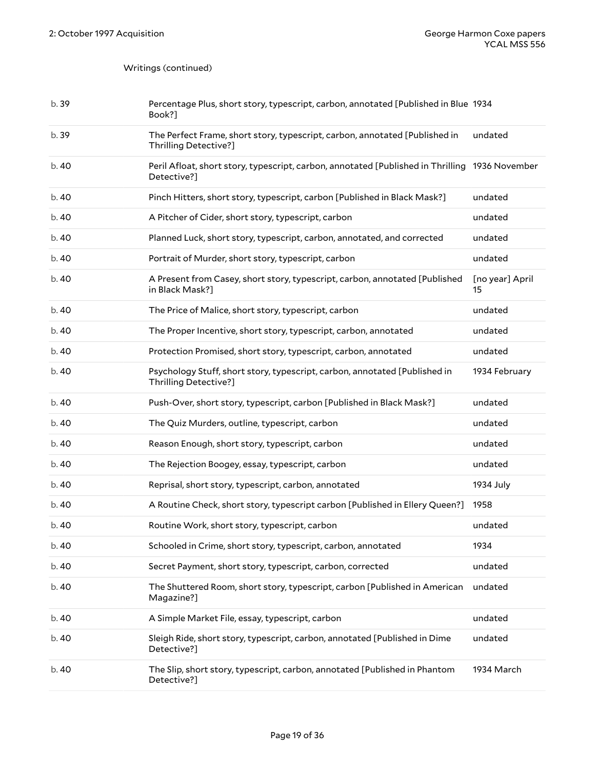| b.39  | Percentage Plus, short story, typescript, carbon, annotated [Published in Blue 1934<br>Book?]                 |                       |
|-------|---------------------------------------------------------------------------------------------------------------|-----------------------|
| b.39  | The Perfect Frame, short story, typescript, carbon, annotated [Published in<br>Thrilling Detective?]          | undated               |
| b. 40 | Peril Afloat, short story, typescript, carbon, annotated [Published in Thrilling 1936 November<br>Detective?] |                       |
| b. 40 | Pinch Hitters, short story, typescript, carbon [Published in Black Mask?]                                     | undated               |
| b. 40 | A Pitcher of Cider, short story, typescript, carbon                                                           | undated               |
| b. 40 | Planned Luck, short story, typescript, carbon, annotated, and corrected                                       | undated               |
| b. 40 | Portrait of Murder, short story, typescript, carbon                                                           | undated               |
| b. 40 | A Present from Casey, short story, typescript, carbon, annotated [Published<br>in Black Mask?]                | [no year] April<br>15 |
| b. 40 | The Price of Malice, short story, typescript, carbon                                                          | undated               |
| b. 40 | The Proper Incentive, short story, typescript, carbon, annotated                                              | undated               |
| b. 40 | Protection Promised, short story, typescript, carbon, annotated                                               | undated               |
| b. 40 | Psychology Stuff, short story, typescript, carbon, annotated [Published in<br>Thrilling Detective?]           | 1934 February         |
| b. 40 | Push-Over, short story, typescript, carbon [Published in Black Mask?]                                         | undated               |
| b. 40 | The Quiz Murders, outline, typescript, carbon                                                                 | undated               |
| b. 40 | Reason Enough, short story, typescript, carbon                                                                | undated               |
| b. 40 | The Rejection Boogey, essay, typescript, carbon                                                               | undated               |
| b. 40 | Reprisal, short story, typescript, carbon, annotated                                                          | 1934 July             |
| b. 40 | A Routine Check, short story, typescript carbon [Published in Ellery Queen?]                                  | 1958                  |
| b. 40 | Routine Work, short story, typescript, carbon                                                                 | undated               |
| b.40  | Schooled in Crime, short story, typescript, carbon, annotated                                                 | 1934                  |
| b. 40 | Secret Payment, short story, typescript, carbon, corrected                                                    | undated               |
| b. 40 | The Shuttered Room, short story, typescript, carbon [Published in American<br>Magazine?]                      | undated               |
| b. 40 | A Simple Market File, essay, typescript, carbon                                                               | undated               |
| b. 40 | Sleigh Ride, short story, typescript, carbon, annotated [Published in Dime<br>Detective?]                     | undated               |
| b. 40 | The Slip, short story, typescript, carbon, annotated [Published in Phantom<br>Detective?]                     | 1934 March            |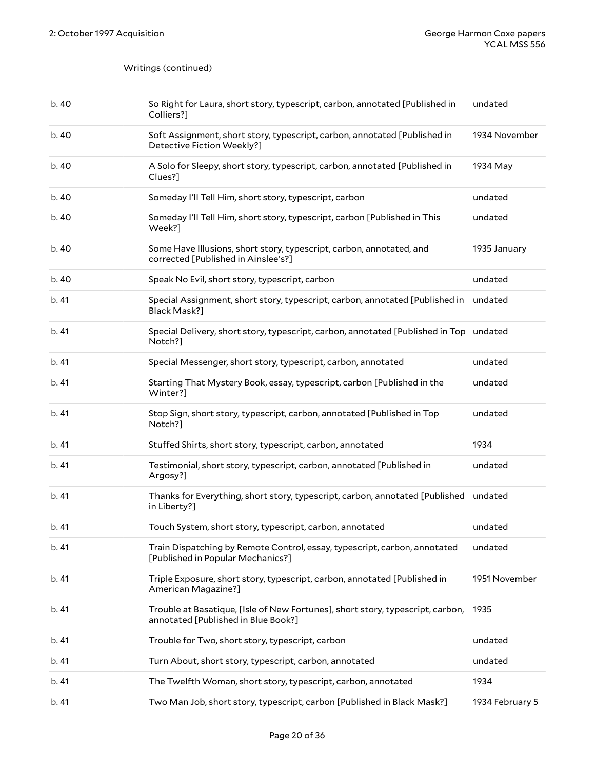| b.40  | So Right for Laura, short story, typescript, carbon, annotated [Published in<br>Colliers?]                            | undated       |
|-------|-----------------------------------------------------------------------------------------------------------------------|---------------|
| b. 40 | Soft Assignment, short story, typescript, carbon, annotated [Published in<br>Detective Fiction Weekly?]               | 1934 November |
| b.40  | A Solo for Sleepy, short story, typescript, carbon, annotated [Published in<br>Clues?]                                | 1934 May      |
| b.40  | Someday I'll Tell Him, short story, typescript, carbon                                                                | undated       |
| b.40  | Someday I'll Tell Him, short story, typescript, carbon [Published in This<br>Week?]                                   | undated       |
| b. 40 | Some Have Illusions, short story, typescript, carbon, annotated, and<br>corrected [Published in Ainslee's?]           | 1935 January  |
| b.40  | Speak No Evil, short story, typescript, carbon                                                                        | undated       |
| b.41  | Special Assignment, short story, typescript, carbon, annotated [Published in<br>Black Mask?]                          | undated       |
| b.41  | Special Delivery, short story, typescript, carbon, annotated [Published in Top undated<br>Notch?]                     |               |
| b.41  | Special Messenger, short story, typescript, carbon, annotated                                                         | undated       |
| b.41  | Starting That Mystery Book, essay, typescript, carbon [Published in the<br>Winter?]                                   | undated       |
|       |                                                                                                                       |               |
| b.41  | Stop Sign, short story, typescript, carbon, annotated [Published in Top<br>Notch?]                                    | undated       |
| b.41  | Stuffed Shirts, short story, typescript, carbon, annotated                                                            | 1934          |
| b. 41 | Testimonial, short story, typescript, carbon, annotated [Published in<br>Argosy?]                                     | undated       |
| b.41  | Thanks for Everything, short story, typescript, carbon, annotated [Published<br>in Liberty?]                          | undated       |
| b.41  | Touch System, short story, typescript, carbon, annotated                                                              | undated       |
| b.41  | Train Dispatching by Remote Control, essay, typescript, carbon, annotated<br>[Published in Popular Mechanics?]        | undated       |
| b.41  | Triple Exposure, short story, typescript, carbon, annotated [Published in<br>American Magazine?]                      | 1951 November |
| b.41  | Trouble at Basatique, [Isle of New Fortunes], short story, typescript, carbon,<br>annotated [Published in Blue Book?] | 1935          |
| b.41  | Trouble for Two, short story, typescript, carbon                                                                      | undated       |
| b. 41 | Turn About, short story, typescript, carbon, annotated                                                                | undated       |
| b. 41 | The Twelfth Woman, short story, typescript, carbon, annotated                                                         | 1934          |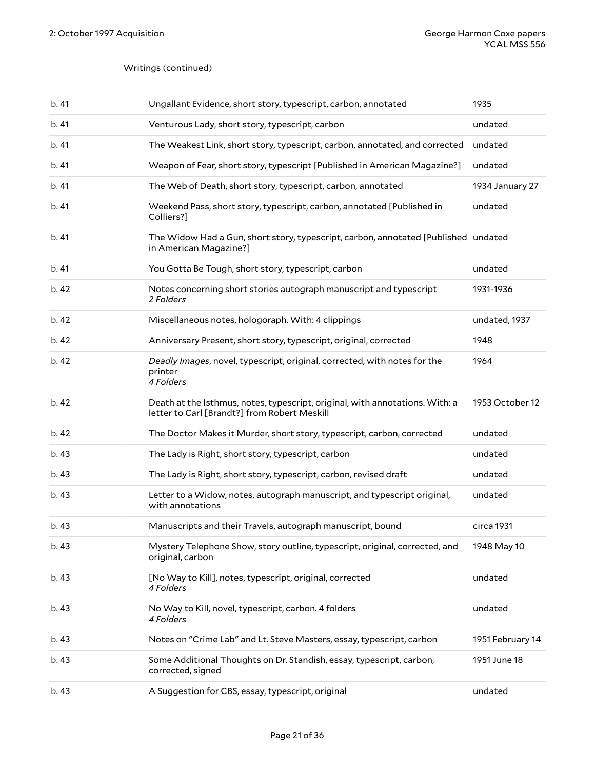| b.41  | Ungallant Evidence, short story, typescript, carbon, annotated                                                               | 1935             |
|-------|------------------------------------------------------------------------------------------------------------------------------|------------------|
| b.41  | Venturous Lady, short story, typescript, carbon                                                                              | undated          |
| b.41  | The Weakest Link, short story, typescript, carbon, annotated, and corrected                                                  | undated          |
| b.41  | Weapon of Fear, short story, typescript [Published in American Magazine?]                                                    | undated          |
| b.41  | The Web of Death, short story, typescript, carbon, annotated                                                                 | 1934 January 27  |
| b.41  | Weekend Pass, short story, typescript, carbon, annotated [Published in<br>Colliers?]                                         | undated          |
| b.41  | The Widow Had a Gun, short story, typescript, carbon, annotated [Published undated<br>in American Magazine?]                 |                  |
| b.41  | You Gotta Be Tough, short story, typescript, carbon                                                                          | undated          |
| b.42  | Notes concerning short stories autograph manuscript and typescript<br>2 Folders                                              | 1931-1936        |
| b.42  | Miscellaneous notes, hologoraph. With: 4 clippings                                                                           | undated, 1937    |
| b.42  | Anniversary Present, short story, typescript, original, corrected                                                            | 1948             |
| b.42  | Deadly Images, novel, typescript, original, corrected, with notes for the<br>printer<br>4 Folders                            | 1964             |
| b.42  | Death at the Isthmus, notes, typescript, original, with annotations. With: a<br>letter to Carl [Brandt?] from Robert Meskill | 1953 October 12  |
| b.42  | The Doctor Makes it Murder, short story, typescript, carbon, corrected                                                       | undated          |
| b.43  | The Lady is Right, short story, typescript, carbon                                                                           | undated          |
| b. 43 | The Lady is Right, short story, typescript, carbon, revised draft                                                            | undated          |
| b.43  | Letter to a Widow, notes, autograph manuscript, and typescript original,<br>with annotations                                 | undated          |
| b.43  | Manuscripts and their Travels, autograph manuscript, bound                                                                   | circa 1931       |
| b.43  | Mystery Telephone Show, story outline, typescript, original, corrected, and<br>original, carbon                              | 1948 May 10      |
| b.43  | [No Way to Kill], notes, typescript, original, corrected<br>4 Folders                                                        | undated          |
| b.43  | No Way to Kill, novel, typescript, carbon. 4 folders<br>4 Folders                                                            | undated          |
| b. 43 | Notes on "Crime Lab" and Lt. Steve Masters, essay, typescript, carbon                                                        | 1951 February 14 |
| b.43  | Some Additional Thoughts on Dr. Standish, essay, typescript, carbon,<br>corrected, signed                                    | 1951 June 18     |
| b.43  | A Suggestion for CBS, essay, typescript, original                                                                            | undated          |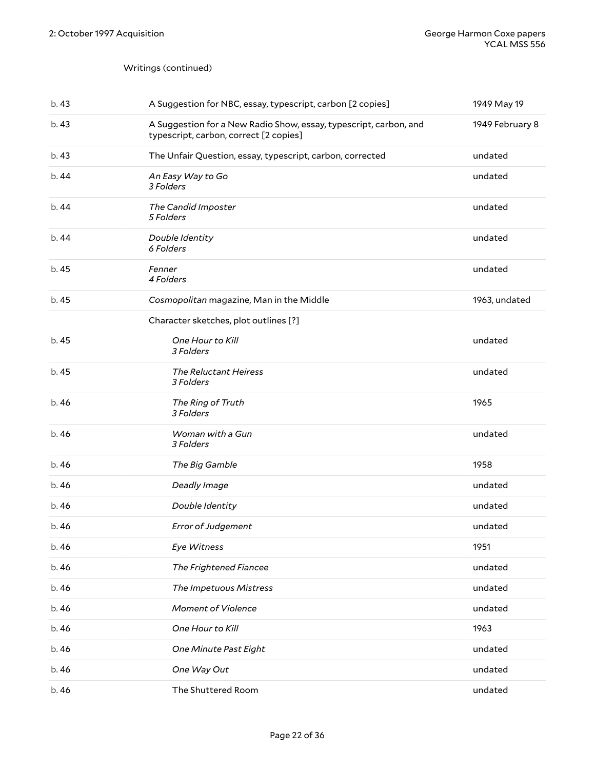| b.43  | A Suggestion for NBC, essay, typescript, carbon [2 copies]                                                  | 1949 May 19     |
|-------|-------------------------------------------------------------------------------------------------------------|-----------------|
| b.43  | A Suggestion for a New Radio Show, essay, typescript, carbon, and<br>typescript, carbon, correct [2 copies] | 1949 February 8 |
| b.43  | The Unfair Question, essay, typescript, carbon, corrected                                                   | undated         |
| b. 44 | An Easy Way to Go<br>3 Folders                                                                              | undated         |
| b.44  | The Candid Imposter<br>5 Folders                                                                            | undated         |
| b.44  | Double Identity<br>6 Folders                                                                                | undated         |
| b. 45 | Fenner<br>4 Folders                                                                                         | undated         |
| b. 45 | Cosmopolitan magazine, Man in the Middle                                                                    | 1963, undated   |
|       | Character sketches, plot outlines [?]                                                                       |                 |
| b. 45 | One Hour to Kill<br>3 Folders                                                                               | undated         |
| b. 45 | The Reluctant Heiress<br>3 Folders                                                                          | undated         |
| b.46  | The Ring of Truth<br>3 Folders                                                                              | 1965            |
| b. 46 | Woman with a Gun<br>3 Folders                                                                               | undated         |
| b.46  | The Big Gamble                                                                                              | 1958            |
| b.46  | Deadly Image                                                                                                | undated         |
| b.46  | Double Identity                                                                                             | undated         |
| b. 46 | <b>Error of Judgement</b>                                                                                   | undated         |
| b.46  | Eye Witness                                                                                                 | 1951            |
| b.46  | The Frightened Fiancee                                                                                      | undated         |
| b. 46 | The Impetuous Mistress                                                                                      | undated         |
| b.46  | <b>Moment of Violence</b>                                                                                   | undated         |
| b.46  | One Hour to Kill                                                                                            | 1963            |
| b. 46 | One Minute Past Eight                                                                                       | undated         |
| b. 46 | One Way Out                                                                                                 | undated         |
| b. 46 | The Shuttered Room                                                                                          | undated         |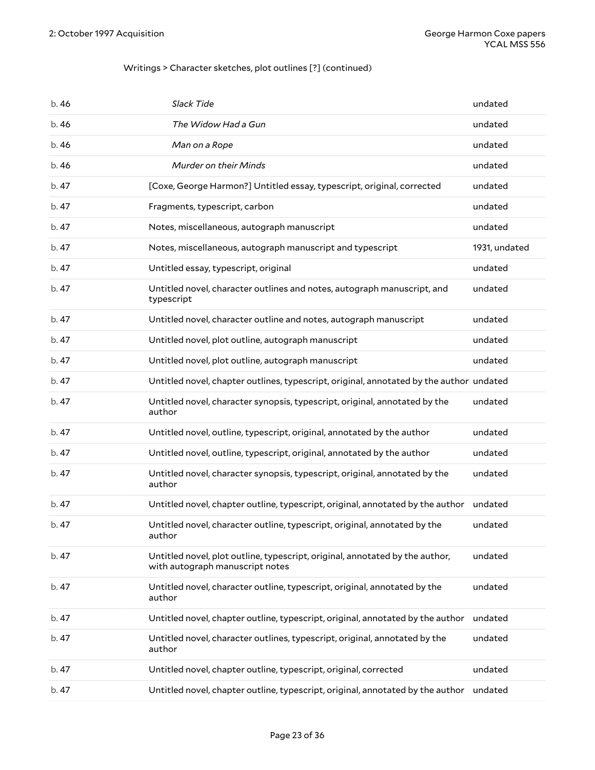#### Writings > Character sketches, plot outlines [?] (continued)

| b.46  | Slack Tide                                                                                                      | undated       |
|-------|-----------------------------------------------------------------------------------------------------------------|---------------|
| b.46  | The Widow Had a Gun                                                                                             | undated       |
| b.46  | Man on a Rope                                                                                                   | undated       |
| b.46  | <b>Murder on their Minds</b>                                                                                    | undated       |
| b. 47 | [Coxe, George Harmon?] Untitled essay, typescript, original, corrected                                          | undated       |
| b.47  | Fragments, typescript, carbon                                                                                   | undated       |
| b.47  | Notes, miscellaneous, autograph manuscript                                                                      | undated       |
| b.47  | Notes, miscellaneous, autograph manuscript and typescript                                                       | 1931, undated |
| b.47  | Untitled essay, typescript, original                                                                            | undated       |
| b.47  | Untitled novel, character outlines and notes, autograph manuscript, and<br>typescript                           | undated       |
| b.47  | Untitled novel, character outline and notes, autograph manuscript                                               | undated       |
| b. 47 | Untitled novel, plot outline, autograph manuscript                                                              | undated       |
| b.47  | Untitled novel, plot outline, autograph manuscript                                                              | undated       |
| b.47  | Untitled novel, chapter outlines, typescript, original, annotated by the author undated                         |               |
| b.47  | Untitled novel, character synopsis, typescript, original, annotated by the<br>author                            | undated       |
| b. 47 | Untitled novel, outline, typescript, original, annotated by the author                                          | undated       |
| b. 47 | Untitled novel, outline, typescript, original, annotated by the author                                          | undated       |
| b. 47 | Untitled novel, character synopsis, typescript, original, annotated by the<br>author                            | undated       |
| b.47  | Untitled novel, chapter outline, typescript, original, annotated by the author                                  | undated       |
| b.47  | Untitled novel, character outline, typescript, original, annotated by the<br>autnor                             | undated       |
| b.47  | Untitled novel, plot outline, typescript, original, annotated by the author,<br>with autograph manuscript notes | undated       |
| b.47  | Untitled novel, character outline, typescript, original, annotated by the<br>author                             | undated       |
| b. 47 | Untitled novel, chapter outline, typescript, original, annotated by the author                                  | undated       |
| b. 47 | Untitled novel, character outlines, typescript, original, annotated by the<br>author                            | undated       |
| b. 47 | Untitled novel, chapter outline, typescript, original, corrected                                                | undated       |
| b. 47 | Untitled novel, chapter outline, typescript, original, annotated by the author                                  | undated       |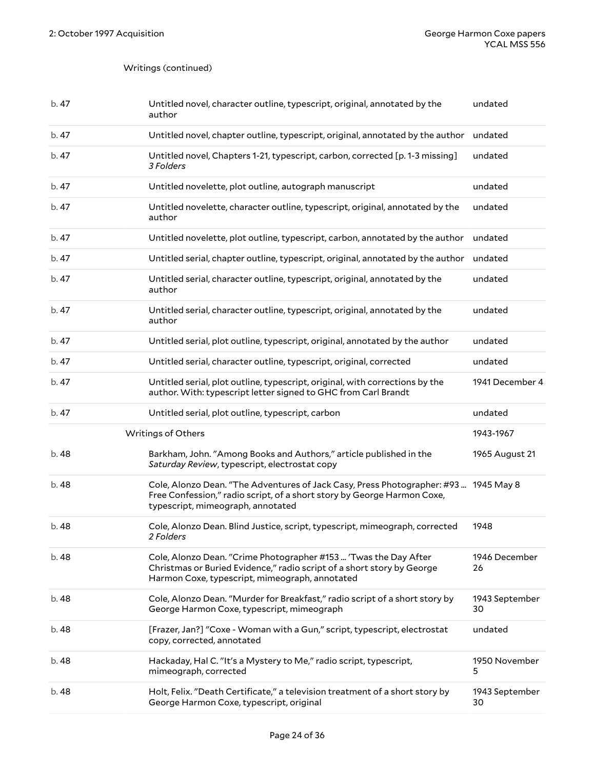<span id="page-23-0"></span>

| b. 47 | Untitled novel, character outline, typescript, original, annotated by the<br>author                                                                                                                  | undated              |
|-------|------------------------------------------------------------------------------------------------------------------------------------------------------------------------------------------------------|----------------------|
| b. 47 | Untitled novel, chapter outline, typescript, original, annotated by the author                                                                                                                       | undated              |
| b.47  | Untitled novel, Chapters 1-21, typescript, carbon, corrected [p. 1-3 missing]<br>3 Folders                                                                                                           | undated              |
| b. 47 | Untitled novelette, plot outline, autograph manuscript                                                                                                                                               | undated              |
| b. 47 | Untitled novelette, character outline, typescript, original, annotated by the<br>author                                                                                                              | undated              |
| b. 47 | Untitled novelette, plot outline, typescript, carbon, annotated by the author                                                                                                                        | undated              |
| b. 47 | Untitled serial, chapter outline, typescript, original, annotated by the author                                                                                                                      | undated              |
| b. 47 | Untitled serial, character outline, typescript, original, annotated by the<br>author                                                                                                                 | undated              |
| b. 47 | Untitled serial, character outline, typescript, original, annotated by the<br>author                                                                                                                 | undated              |
| b. 47 | Untitled serial, plot outline, typescript, original, annotated by the author                                                                                                                         | undated              |
| b. 47 | Untitled serial, character outline, typescript, original, corrected                                                                                                                                  | undated              |
| b.47  | Untitled serial, plot outline, typescript, original, with corrections by the<br>author. With: typescript letter signed to GHC from Carl Brandt                                                       | 1941 December 4      |
|       |                                                                                                                                                                                                      |                      |
| b. 47 | Untitled serial, plot outline, typescript, carbon                                                                                                                                                    | undated              |
|       | Writings of Others                                                                                                                                                                                   | 1943-1967            |
| b. 48 | Barkham, John. "Among Books and Authors," article published in the<br>Saturday Review, typescript, electrostat copy                                                                                  | 1965 August 21       |
| b. 48 | Cole, Alonzo Dean. "The Adventures of Jack Casy, Press Photographer: #93  1945 May 8<br>Free Confession," radio script, of a short story by George Harmon Coxe,<br>typescript, mimeograph, annotated |                      |
| b. 48 | Cole, Alonzo Dean. Blind Justice, script, typescript, mimeograph, corrected<br>2 Folders                                                                                                             | 1948                 |
| b. 48 | Cole, Alonzo Dean. "Crime Photographer #153  'Twas the Day After<br>Christmas or Buried Evidence," radio script of a short story by George<br>Harmon Coxe, typescript, mimeograph, annotated         | 1946 December<br>26  |
| b. 48 | Cole, Alonzo Dean. "Murder for Breakfast," radio script of a short story by<br>George Harmon Coxe, typescript, mimeograph                                                                            | 1943 September<br>30 |
| b. 48 | [Frazer, Jan?] "Coxe - Woman with a Gun," script, typescript, electrostat<br>copy, corrected, annotated                                                                                              | undated              |
| b. 48 | Hackaday, Hal C. "It's a Mystery to Me," radio script, typescript,<br>mimeograph, corrected                                                                                                          | 1950 November<br>5   |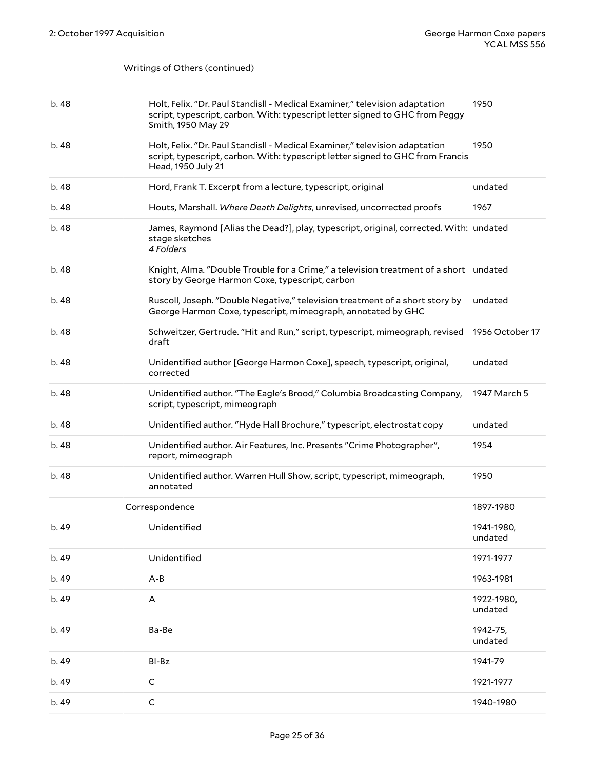#### Writings of Others (continued)

<span id="page-24-0"></span>

| b. 48 | Holt, Felix. "Dr. Paul Standisll - Medical Examiner," television adaptation<br>script, typescript, carbon. With: typescript letter signed to GHC from Peggy<br>Smith, 1950 May 29   | 1950                  |
|-------|-------------------------------------------------------------------------------------------------------------------------------------------------------------------------------------|-----------------------|
| b. 48 | Holt, Felix. "Dr. Paul Standisll - Medical Examiner," television adaptation<br>script, typescript, carbon. With: typescript letter signed to GHC from Francis<br>Head, 1950 July 21 | 1950                  |
| b. 48 | Hord, Frank T. Excerpt from a lecture, typescript, original                                                                                                                         | undated               |
| b. 48 | Houts, Marshall. Where Death Delights, unrevised, uncorrected proofs                                                                                                                | 1967                  |
| b. 48 | James, Raymond [Alias the Dead?], play, typescript, original, corrected. With: undated<br>stage sketches<br>4 Folders                                                               |                       |
| b. 48 | Knight, Alma. "Double Trouble for a Crime," a television treatment of a short undated<br>story by George Harmon Coxe, typescript, carbon                                            |                       |
| b. 48 | Ruscoll, Joseph. "Double Negative," television treatment of a short story by<br>George Harmon Coxe, typescript, mimeograph, annotated by GHC                                        | undated               |
| b. 48 | Schweitzer, Gertrude. "Hit and Run," script, typescript, mimeograph, revised<br>draft                                                                                               | 1956 October 17       |
| b. 48 | Unidentified author [George Harmon Coxe], speech, typescript, original,<br>corrected                                                                                                | undated               |
| b. 48 | Unidentified author. "The Eagle's Brood," Columbia Broadcasting Company,<br>script, typescript, mimeograph                                                                          | 1947 March 5          |
| b. 48 | Unidentified author. "Hyde Hall Brochure," typescript, electrostat copy                                                                                                             | undated               |
| b. 48 | Unidentified author. Air Features, Inc. Presents "Crime Photographer",<br>report, mimeograph                                                                                        | 1954                  |
| b. 48 | Unidentified author. Warren Hull Show, script, typescript, mimeograph,<br>annotated                                                                                                 | 1950                  |
|       | Correspondence                                                                                                                                                                      | 1897-1980             |
| b. 49 | Unidentified                                                                                                                                                                        | 1941-1980,<br>undated |
| b. 49 | Unidentified                                                                                                                                                                        | 1971-1977             |
| b. 49 | $A - B$                                                                                                                                                                             | 1963-1981             |
| b. 49 | A                                                                                                                                                                                   | 1922-1980,<br>undated |
| b. 49 | Ba-Be                                                                                                                                                                               | 1942-75,<br>undated   |
| b. 49 | BI-Bz                                                                                                                                                                               | 1941-79               |
| b. 49 | $\mathsf{C}$                                                                                                                                                                        | 1921-1977             |
| b. 49 | $\mathsf C$                                                                                                                                                                         | 1940-1980             |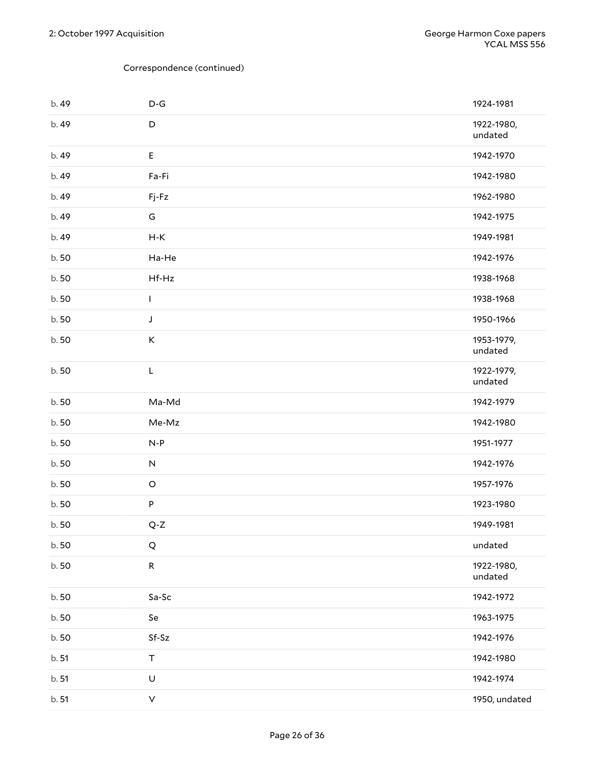| b. 49 | $\mathsf{D}\text{-}\mathsf{G}$ | 1924-1981             |
|-------|--------------------------------|-----------------------|
| b. 49 | $\mathsf D$                    | 1922-1980,<br>undated |
| b. 49 | E                              | 1942-1970             |
| b. 49 | Fa-Fi                          | 1942-1980             |
| b. 49 | Fj-Fz                          | 1962-1980             |
| b. 49 | G                              | 1942-1975             |
| b. 49 | $H-K$                          | 1949-1981             |
| b.50  | Ha-He                          | 1942-1976             |
| b.50  | Hf-Hz                          | 1938-1968             |
| b.50  | L                              | 1938-1968             |
| b.50  | J                              | 1950-1966             |
| b.50  | K                              | 1953-1979,<br>undated |
| b.50  | L                              | 1922-1979,<br>undated |
| b.50  | Ma-Md                          | 1942-1979             |
| b.50  | Me-Mz                          | 1942-1980             |
| b.50  | $N-P$                          | 1951-1977             |
| b.50  | $\sf N$                        | 1942-1976             |
| b.50  | $\mathsf O$                    | 1957-1976             |
| b.50  | P                              | 1923-1980             |
| b.50  | $Q-Z$                          | 1949-1981             |
| b.50  | $\mathsf Q$                    | undated               |
| b.50  | ${\sf R}$                      | 1922-1980,<br>undated |
| b.50  | Sa-Sc                          | 1942-1972             |
| b.50  | Se                             | 1963-1975             |
| b.50  | $Sf-Sz$                        | 1942-1976             |
| b. 51 | $\top$                         | 1942-1980             |
| b. 51 | $\cup$                         | 1942-1974             |
| b. 51 | $\boldsymbol{\vee}$            | 1950, undated         |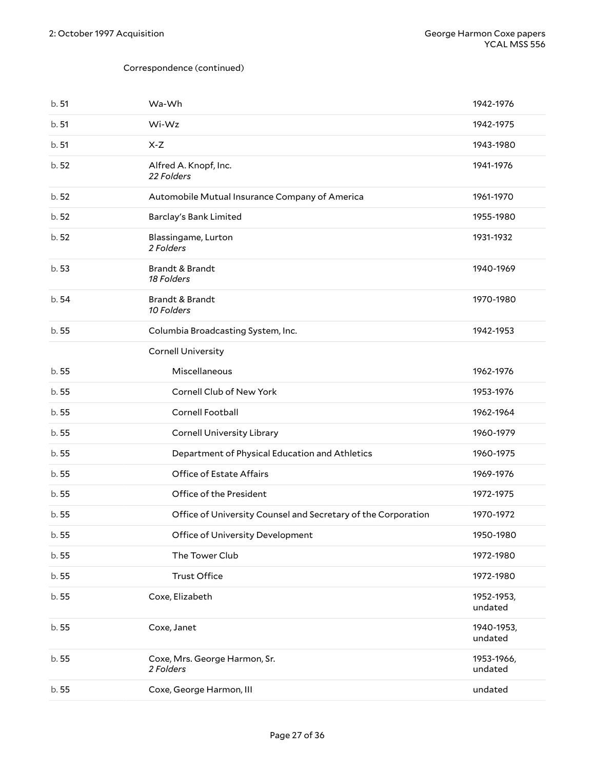| b.51  | Wa-Wh                                                         | 1942-1976             |
|-------|---------------------------------------------------------------|-----------------------|
| b.51  | Wi-Wz                                                         | 1942-1975             |
| b.51  | $X-Z$                                                         | 1943-1980             |
| b. 52 | Alfred A. Knopf, Inc.<br>22 Folders                           | 1941-1976             |
| b.52  | Automobile Mutual Insurance Company of America                | 1961-1970             |
| b.52  | Barclay's Bank Limited                                        | 1955-1980             |
| b.52  | Blassingame, Lurton<br>2 Folders                              | 1931-1932             |
| b.53  | Brandt & Brandt<br>18 Folders                                 | 1940-1969             |
| b.54  | Brandt & Brandt<br>10 Folders                                 | 1970-1980             |
| b.55  | Columbia Broadcasting System, Inc.                            | 1942-1953             |
|       | <b>Cornell University</b>                                     |                       |
| b.55  | Miscellaneous                                                 | 1962-1976             |
| b.55  | Cornell Club of New York                                      | 1953-1976             |
| b.55  | Cornell Football                                              | 1962-1964             |
| b.55  | <b>Cornell University Library</b>                             | 1960-1979             |
| b. 55 | Department of Physical Education and Athletics                | 1960-1975             |
| b.55  | Office of Estate Affairs                                      | 1969-1976             |
| b.55  | Office of the President                                       | 1972-1975             |
| b.55  | Office of University Counsel and Secretary of the Corporation | 1970-1972             |
| b.55  | Office of University Development                              | 1950-1980             |
| b.55  | The Tower Club                                                | 1972-1980             |
| b.55  | <b>Trust Office</b>                                           | 1972-1980             |
| b.55  | Coxe, Elizabeth                                               | 1952-1953,<br>undated |
| b. 55 | Coxe, Janet                                                   | 1940-1953,<br>undated |
| b. 55 | Coxe, Mrs. George Harmon, Sr.<br>2 Folders                    | 1953-1966,<br>undated |
| b. 55 | Coxe, George Harmon, III                                      | undated               |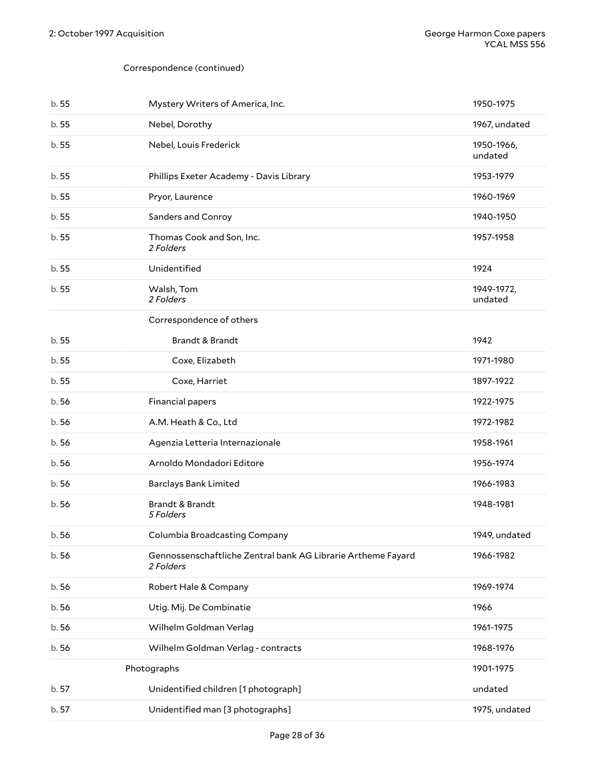<span id="page-27-0"></span>

| b.55  | Mystery Writers of America, Inc.                                          | 1950-1975             |
|-------|---------------------------------------------------------------------------|-----------------------|
| b.55  | Nebel, Dorothy                                                            | 1967, undated         |
| b.55  | Nebel, Louis Frederick                                                    | 1950-1966,<br>undated |
| b.55  | Phillips Exeter Academy - Davis Library                                   | 1953-1979             |
| b.55  | Pryor, Laurence                                                           | 1960-1969             |
| b.55  | Sanders and Conroy                                                        | 1940-1950             |
| b.55  | Thomas Cook and Son, Inc.<br>2 Folders                                    | 1957-1958             |
| b.55  | Unidentified                                                              | 1924                  |
| b.55  | Walsh, Tom<br>2 Folders                                                   | 1949-1972,<br>undated |
|       | Correspondence of others                                                  |                       |
| b.55  | <b>Brandt &amp; Brandt</b>                                                | 1942                  |
| b.55  | Coxe, Elizabeth                                                           | 1971-1980             |
| b.55  | Coxe, Harriet                                                             | 1897-1922             |
| b.56  | Financial papers                                                          | 1922-1975             |
| b.56  | A.M. Heath & Co., Ltd                                                     | 1972-1982             |
| b.56  | Agenzia Letteria Internazionale                                           | 1958-1961             |
| b.56  | Arnoldo Mondadori Editore                                                 | 1956-1974             |
| b.56  | <b>Barclays Bank Limited</b>                                              | 1966-1983             |
| b.56  | <b>Brandt &amp; Brandt</b><br>5 Folders                                   | 1948-1981             |
| b.56  | Columbia Broadcasting Company                                             | 1949, undated         |
| b.56  | Gennossenschaftliche Zentral bank AG Librarie Artheme Fayard<br>2 Folders | 1966-1982             |
| b. 56 | Robert Hale & Company                                                     | 1969-1974             |
| b.56  | Utig. Mij. De Combinatie                                                  | 1966                  |
| b.56  | Wilhelm Goldman Verlag                                                    | 1961-1975             |
| b.56  | Wilhelm Goldman Verlag - contracts                                        | 1968-1976             |
|       | Photographs                                                               | 1901-1975             |
| b. 57 | Unidentified children [1 photograph]                                      | undated               |
| b. 57 | Unidentified man [3 photographs]                                          | 1975, undated         |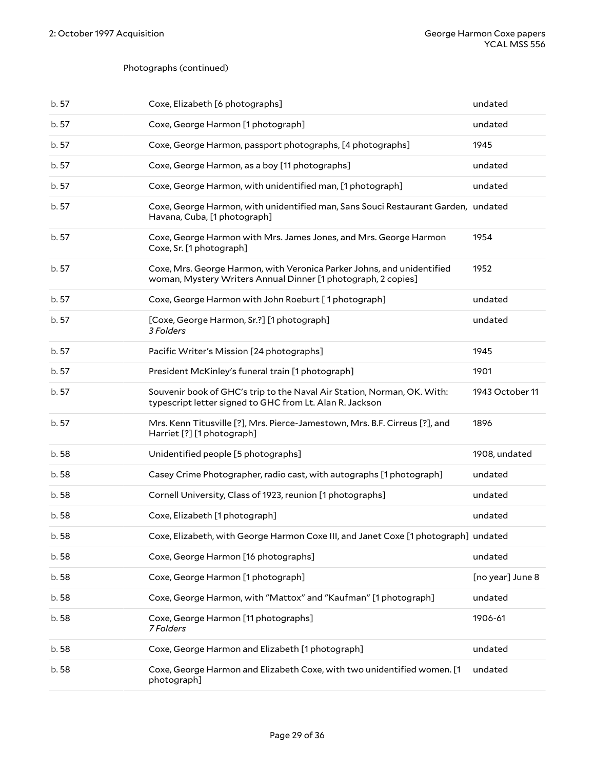#### Photographs (continued)

| b. 57 | Coxe, Elizabeth [6 photographs]                                                                                                         | undated          |
|-------|-----------------------------------------------------------------------------------------------------------------------------------------|------------------|
| b.57  | Coxe, George Harmon [1 photograph]                                                                                                      | undated          |
| b.57  | Coxe, George Harmon, passport photographs, [4 photographs]                                                                              | 1945             |
| b. 57 | Coxe, George Harmon, as a boy [11 photographs]                                                                                          | undated          |
| b.57  | Coxe, George Harmon, with unidentified man, [1 photograph]                                                                              | undated          |
| b.57  | Coxe, George Harmon, with unidentified man, Sans Souci Restaurant Garden, undated<br>Havana, Cuba, [1 photograph]                       |                  |
| b.57  | Coxe, George Harmon with Mrs. James Jones, and Mrs. George Harmon<br>Coxe, Sr. [1 photograph]                                           | 1954             |
| b.57  | Coxe, Mrs. George Harmon, with Veronica Parker Johns, and unidentified<br>woman, Mystery Writers Annual Dinner [1 photograph, 2 copies] | 1952             |
| b.57  | Coxe, George Harmon with John Roeburt [1photograph]                                                                                     | undated          |
| b.57  | [Coxe, George Harmon, Sr.?] [1 photograph]<br>3 Folders                                                                                 | undated          |
| b. 57 | Pacific Writer's Mission [24 photographs]                                                                                               | 1945             |
| b. 57 | President McKinley's funeral train [1 photograph]                                                                                       | 1901             |
| b.57  | Souvenir book of GHC's trip to the Naval Air Station, Norman, OK. With:<br>typescript letter signed to GHC from Lt. Alan R. Jackson     | 1943 October 11  |
| b.57  | Mrs. Kenn Titusville [?], Mrs. Pierce-Jamestown, Mrs. B.F. Cirreus [?], and<br>Harriet [?] [1 photograph]                               | 1896             |
| b.58  | Unidentified people [5 photographs]                                                                                                     | 1908, undated    |
| b.58  | Casey Crime Photographer, radio cast, with autographs [1 photograph]                                                                    | undated          |
| b.58  | Cornell University, Class of 1923, reunion [1 photographs]                                                                              | undated          |
| b.58  | Coxe, Elizabeth [1 photograph]                                                                                                          | undated          |
| b.58  | Coxe, Elizabeth, with George Harmon Coxe III, and Janet Coxe [1 photograph] undated                                                     |                  |
| b. 58 | Coxe, George Harmon [16 photographs]                                                                                                    | undated          |
| b.58  | Coxe, George Harmon [1 photograph]                                                                                                      | [no year] June 8 |
| b.58  | Coxe, George Harmon, with "Mattox" and "Kaufman" [1 photograph]                                                                         | undated          |
| b.58  | Coxe, George Harmon [11 photographs]<br>7 Folders                                                                                       | 1906-61          |
| b.58  | Coxe, George Harmon and Elizabeth [1 photograph]                                                                                        | undated          |
| b.58  | Coxe, George Harmon and Elizabeth Coxe, with two unidentified women. [1<br>photograph]                                                  | undated          |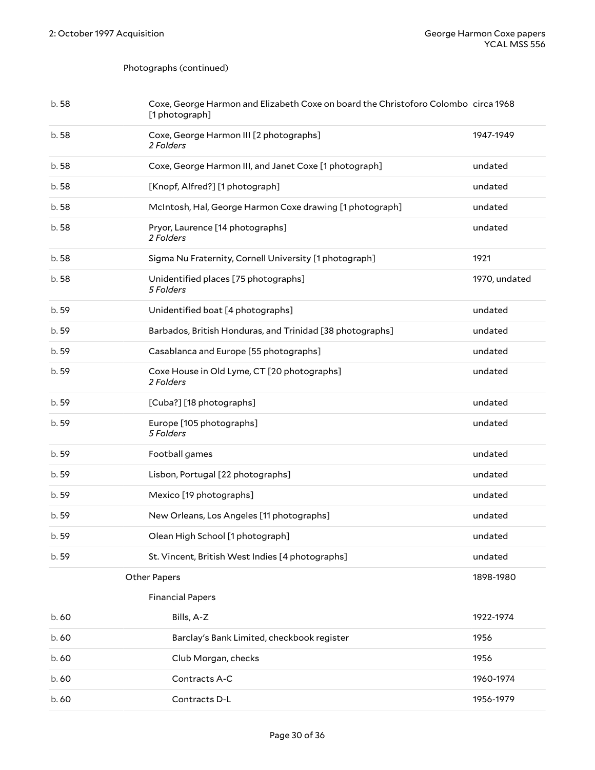## Photographs (continued)

<span id="page-29-1"></span><span id="page-29-0"></span>

| b.58  | Coxe, George Harmon and Elizabeth Coxe on board the Christoforo Colombo circa 1968<br>[1 photograph] |               |
|-------|------------------------------------------------------------------------------------------------------|---------------|
| b.58  | Coxe, George Harmon III [2 photographs]<br>2 Folders                                                 | 1947-1949     |
| b.58  | Coxe, George Harmon III, and Janet Coxe [1 photograph]                                               | undated       |
| b.58  | [Knopf, Alfred?] [1 photograph]                                                                      | undated       |
| b.58  | McIntosh, Hal, George Harmon Coxe drawing [1 photograph]                                             | undated       |
| b.58  | Pryor, Laurence [14 photographs]<br>2 Folders                                                        | undated       |
| b.58  | Sigma Nu Fraternity, Cornell University [1 photograph]                                               | 1921          |
| b.58  | Unidentified places [75 photographs]<br>5 Folders                                                    | 1970, undated |
| b. 59 | Unidentified boat [4 photographs]                                                                    | undated       |
| b. 59 | Barbados, British Honduras, and Trinidad [38 photographs]                                            | undated       |
| b. 59 | Casablanca and Europe [55 photographs]                                                               | undated       |
| b. 59 | Coxe House in Old Lyme, CT [20 photographs]<br>2 Folders                                             | undated       |
| b. 59 | [Cuba?] [18 photographs]                                                                             | undated       |
| b. 59 | Europe [105 photographs]<br>5 Folders                                                                | undated       |
| b. 59 | Football games                                                                                       | undated       |
| b. 59 | Lisbon, Portugal [22 photographs]                                                                    | undated       |
| b. 59 | Mexico [19 photographs]                                                                              | undated       |
| b. 59 | New Orleans, Los Angeles [11 photographs]                                                            | undated       |
| b. 59 | Olean High School [1 photograph]                                                                     | undated       |
| b. 59 | St. Vincent, British West Indies [4 photographs]                                                     | undated       |
|       | <b>Other Papers</b>                                                                                  | 1898-1980     |
|       | <b>Financial Papers</b>                                                                              |               |
| b. 60 | Bills, A-Z                                                                                           | 1922-1974     |
| b.60  | Barclay's Bank Limited, checkbook register                                                           | 1956          |
| b. 60 | Club Morgan, checks                                                                                  | 1956          |
| b.60  | Contracts A-C                                                                                        | 1960-1974     |
| b.60  | Contracts D-L                                                                                        | 1956-1979     |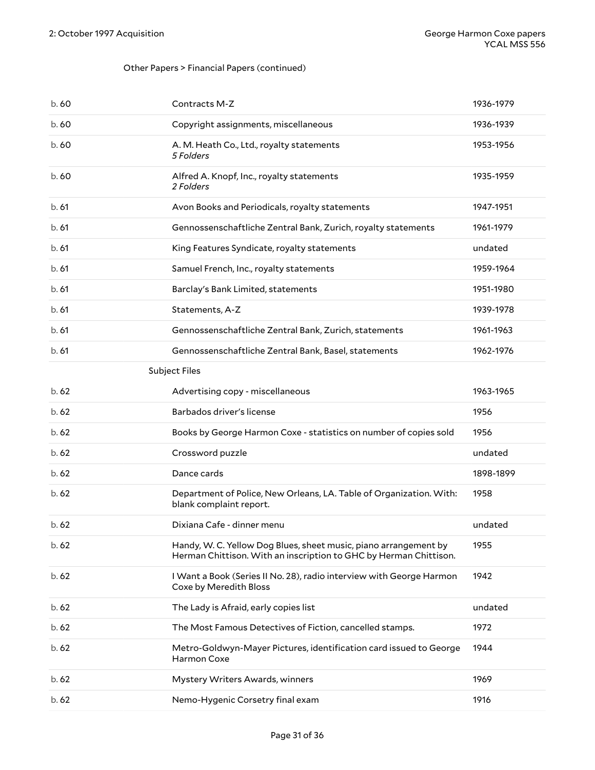## Other Papers > Financial Papers (continued)

<span id="page-30-0"></span>

| b.60  | Contracts M-Z                                                                                                                         | 1936-1979 |
|-------|---------------------------------------------------------------------------------------------------------------------------------------|-----------|
| b.60  | Copyright assignments, miscellaneous                                                                                                  | 1936-1939 |
| b.60  | A. M. Heath Co., Ltd., royalty statements<br>5 Folders                                                                                | 1953-1956 |
| b. 60 | Alfred A. Knopf, Inc., royalty statements<br>2 Folders                                                                                | 1935-1959 |
| b.61  | Avon Books and Periodicals, royalty statements                                                                                        | 1947-1951 |
| b.61  | Gennossenschaftliche Zentral Bank, Zurich, royalty statements                                                                         | 1961-1979 |
| b.61  | King Features Syndicate, royalty statements                                                                                           | undated   |
| b.61  | Samuel French, Inc., royalty statements                                                                                               | 1959-1964 |
| b.61  | Barclay's Bank Limited, statements                                                                                                    | 1951-1980 |
| b.61  | Statements, A-Z                                                                                                                       | 1939-1978 |
| b.61  | Gennossenschaftliche Zentral Bank, Zurich, statements                                                                                 | 1961-1963 |
| b.61  | Gennossenschaftliche Zentral Bank, Basel, statements                                                                                  | 1962-1976 |
|       | Subject Files                                                                                                                         |           |
| b.62  | Advertising copy - miscellaneous                                                                                                      | 1963-1965 |
|       |                                                                                                                                       |           |
| b.62  | Barbados driver's license                                                                                                             | 1956      |
| b.62  | Books by George Harmon Coxe - statistics on number of copies sold                                                                     | 1956      |
| b.62  | Crossword puzzle                                                                                                                      | undated   |
| b.62  | Dance cards                                                                                                                           | 1898-1899 |
| b.62  | Department of Police, New Orleans, LA. Table of Organization. With:<br>blank complaint report.                                        | 1958      |
| b.62  | Dixiana Cafe - dinner menu                                                                                                            | undated   |
| b.62  | Handy, W. C. Yellow Dog Blues, sheet music, piano arrangement by<br>Herman Chittison. With an inscription to GHC by Herman Chittison. | 1955      |
| b.62  | I Want a Book (Series II No. 28), radio interview with George Harmon<br>Coxe by Meredith Bloss                                        | 1942      |
| b.62  | The Lady is Afraid, early copies list                                                                                                 | undated   |
| b.62  | The Most Famous Detectives of Fiction, cancelled stamps.                                                                              | 1972      |
| b. 62 | Metro-Goldwyn-Mayer Pictures, identification card issued to George<br>Harmon Coxe                                                     | 1944      |
| b.62  | Mystery Writers Awards, winners                                                                                                       | 1969      |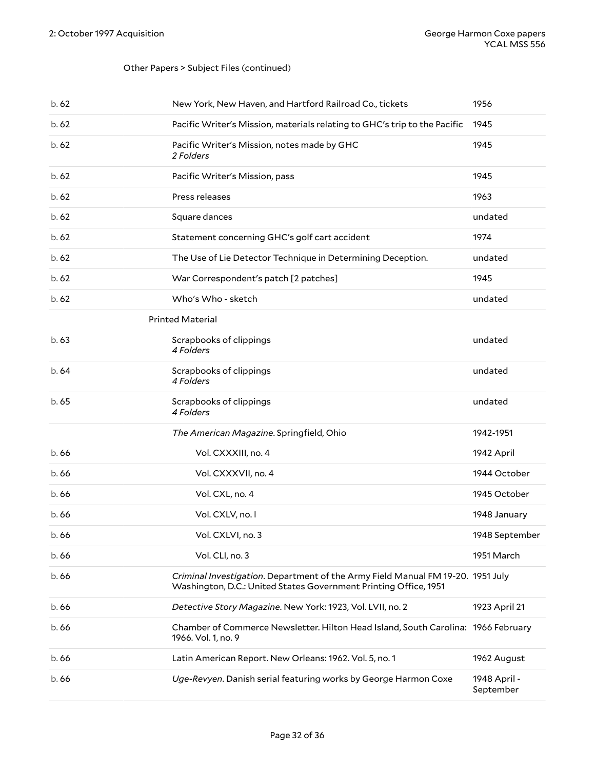#### Other Papers > Subject Files (continued)

<span id="page-31-0"></span>

| b. 62 | New York, New Haven, and Hartford Railroad Co., tickets                                                                                             | 1956                      |
|-------|-----------------------------------------------------------------------------------------------------------------------------------------------------|---------------------------|
| b.62  | Pacific Writer's Mission, materials relating to GHC's trip to the Pacific                                                                           | 1945                      |
| b.62  | Pacific Writer's Mission, notes made by GHC<br>2 Folders                                                                                            | 1945                      |
| b.62  | Pacific Writer's Mission, pass                                                                                                                      | 1945                      |
| b.62  | Press releases                                                                                                                                      | 1963                      |
| b.62  | Square dances                                                                                                                                       | undated                   |
| b. 62 | Statement concerning GHC's golf cart accident                                                                                                       | 1974                      |
| b.62  | The Use of Lie Detector Technique in Determining Deception.                                                                                         | undated                   |
| b.62  | War Correspondent's patch [2 patches]                                                                                                               | 1945                      |
| b.62  | Who's Who - sketch                                                                                                                                  | undated                   |
|       | <b>Printed Material</b>                                                                                                                             |                           |
| b. 63 | Scrapbooks of clippings<br>4 Folders                                                                                                                | undated                   |
| b.64  | Scrapbooks of clippings<br>4 Folders                                                                                                                | undated                   |
| b.65  | Scrapbooks of clippings<br>4 Folders                                                                                                                | undated                   |
|       | The American Magazine. Springfield, Ohio                                                                                                            | 1942-1951                 |
| b. 66 | Vol. CXXXIII, no. 4                                                                                                                                 | 1942 April                |
| b.66  | Vol. CXXXVII, no. 4                                                                                                                                 | 1944 October              |
| b.66  | Vol. CXL, no. 4                                                                                                                                     | 1945 October              |
| b.66  | Vol. CXLV, no. I                                                                                                                                    | 1948 January              |
| b. 66 | Vol. CXLVI, no. 3                                                                                                                                   | 1948 September            |
| b.66  | Vol. CLI, no. 3                                                                                                                                     | 1951 March                |
| b.66  | Criminal Investigation. Department of the Army Field Manual FM 19-20. 1951 July<br>Washington, D.C.: United States Government Printing Office, 1951 |                           |
| b.66  | Detective Story Magazine. New York: 1923, Vol. LVII, no. 2                                                                                          | 1923 April 21             |
| b.66  | Chamber of Commerce Newsletter. Hilton Head Island, South Carolina: 1966 February<br>1966. Vol. 1, no. 9                                            |                           |
| b.66  | Latin American Report. New Orleans: 1962. Vol. 5, no. 1                                                                                             | 1962 August               |
| b.66  | Uge-Revyen. Danish serial featuring works by George Harmon Coxe                                                                                     | 1948 April -<br>September |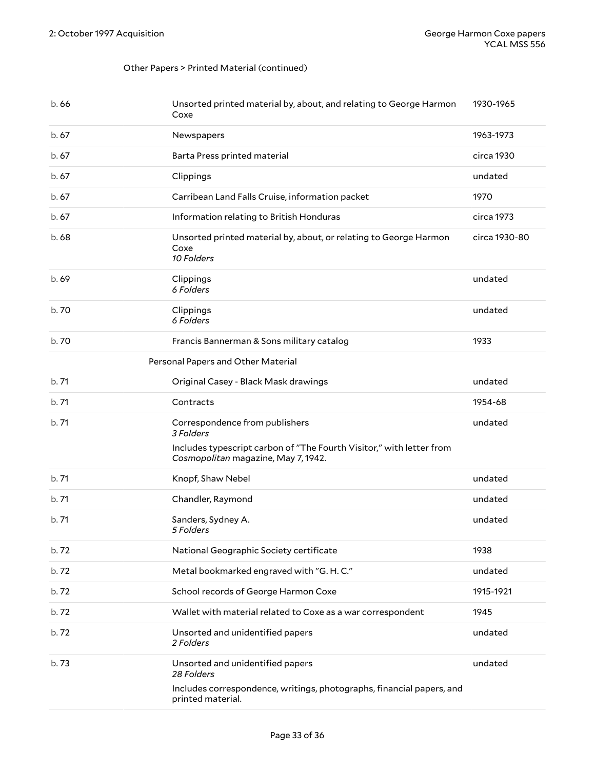#### Other Papers > Printed Material (continued)

<span id="page-32-0"></span>

| b.66  | Unsorted printed material by, about, and relating to George Harmon<br>Coxe                                  | 1930-1965     |
|-------|-------------------------------------------------------------------------------------------------------------|---------------|
| b.67  | Newspapers                                                                                                  | 1963-1973     |
| b.67  | Barta Press printed material                                                                                | circa 1930    |
| b.67  | Clippings                                                                                                   | undated       |
| b.67  | Carribean Land Falls Cruise, information packet                                                             | 1970          |
| b.67  | Information relating to British Honduras                                                                    | circa 1973    |
| b.68  | Unsorted printed material by, about, or relating to George Harmon<br>Coxe<br>10 Folders                     | circa 1930-80 |
| b. 69 | Clippings<br>6 Folders                                                                                      | undated       |
| b. 70 | Clippings<br>6 Folders                                                                                      | undated       |
| b. 70 | Francis Bannerman & Sons military catalog                                                                   | 1933          |
|       | Personal Papers and Other Material                                                                          |               |
| b.71  | Original Casey - Black Mask drawings                                                                        | undated       |
| b.71  | Contracts                                                                                                   | 1954-68       |
| b.71  | Correspondence from publishers<br>3 Folders                                                                 | undated       |
|       | Includes typescript carbon of "The Fourth Visitor," with letter from<br>Cosmopolitan magazine, May 7, 1942. |               |
| b.71  | Knopf, Shaw Nebel                                                                                           | undated       |
| b.71  | Chandler, Raymond                                                                                           | undated       |
| b.71  | Sanders, Sydney A.<br>5 Folders                                                                             | undated       |
| b.72  | National Geographic Society certificate                                                                     | 1938          |
| b.72  | Metal bookmarked engraved with "G.H.C."                                                                     | undated       |
| b.72  | School records of George Harmon Coxe                                                                        | 1915-1921     |
| b.72  | Wallet with material related to Coxe as a war correspondent                                                 | 1945          |
| b.72  | Unsorted and unidentified papers<br>2 Folders                                                               | undated       |
| b.73  | Unsorted and unidentified papers<br>28 Folders                                                              | undated       |
|       | Includes correspondence, writings, photographs, financial papers, and<br>printed material.                  |               |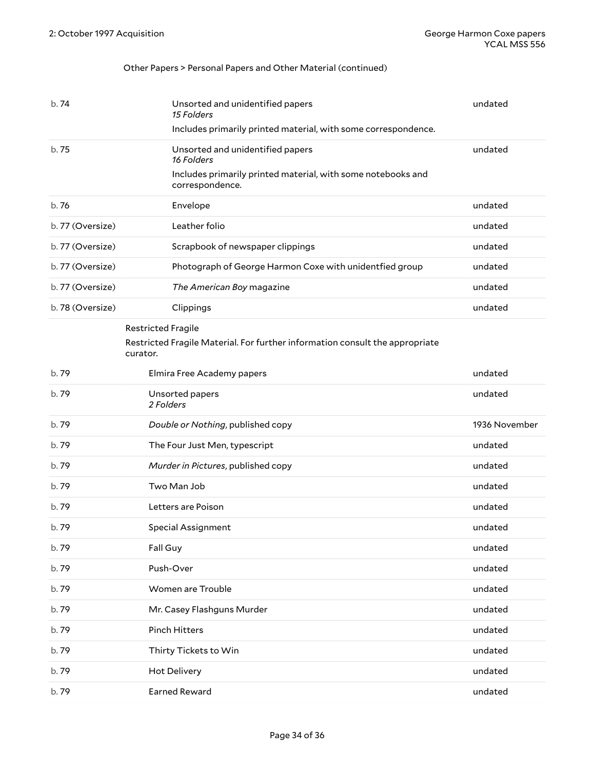## Other Papers > Personal Papers and Other Material (continued)

<span id="page-33-0"></span>

| b.74             | Unsorted and unidentified papers<br>15 Folders<br>Includes primarily printed material, with some correspondence.                  | undated       |
|------------------|-----------------------------------------------------------------------------------------------------------------------------------|---------------|
| b. 75            | Unsorted and unidentified papers<br>16 Folders<br>Includes primarily printed material, with some notebooks and<br>correspondence. | undated       |
| b.76             | Envelope                                                                                                                          | undated       |
| b. 77 (Oversize) | Leather folio                                                                                                                     | undated       |
| b. 77 (Oversize) | Scrapbook of newspaper clippings                                                                                                  | undated       |
| b. 77 (Oversize) | Photograph of George Harmon Coxe with unidentfied group                                                                           | undated       |
| b. 77 (Oversize) | The American Boy magazine                                                                                                         | undated       |
| b. 78 (Oversize) | Clippings                                                                                                                         | undated       |
|                  | <b>Restricted Fragile</b><br>Restricted Fragile Material. For further information consult the appropriate<br>curator.             |               |
| b. 79            | Elmira Free Academy papers                                                                                                        | undated       |
| b. 79            | Unsorted papers<br>2 Folders                                                                                                      | undated       |
| b.79             | Double or Nothing, published copy                                                                                                 | 1936 November |
| b. 79            | The Four Just Men, typescript                                                                                                     | undated       |
| b. 79            | Murder in Pictures, published copy                                                                                                | undated       |
| b. 79            | Two Man Job                                                                                                                       | undated       |
| b. 79            | Letters are Poison                                                                                                                | undated       |
| b. 79            | <b>Special Assignment</b>                                                                                                         | undated       |
| b.79             | Fall Guy                                                                                                                          | undated       |
| b.79             | Push-Over                                                                                                                         | undated       |
| b.79             | Women are Trouble                                                                                                                 | undated       |
| b.79             | Mr. Casey Flashguns Murder                                                                                                        | undated       |
| b.79             | <b>Pinch Hitters</b>                                                                                                              | undated       |
| b.79             | Thirty Tickets to Win                                                                                                             | undated       |
| b.79             | <b>Hot Delivery</b>                                                                                                               | undated       |
| b.79             | <b>Earned Reward</b>                                                                                                              | undated       |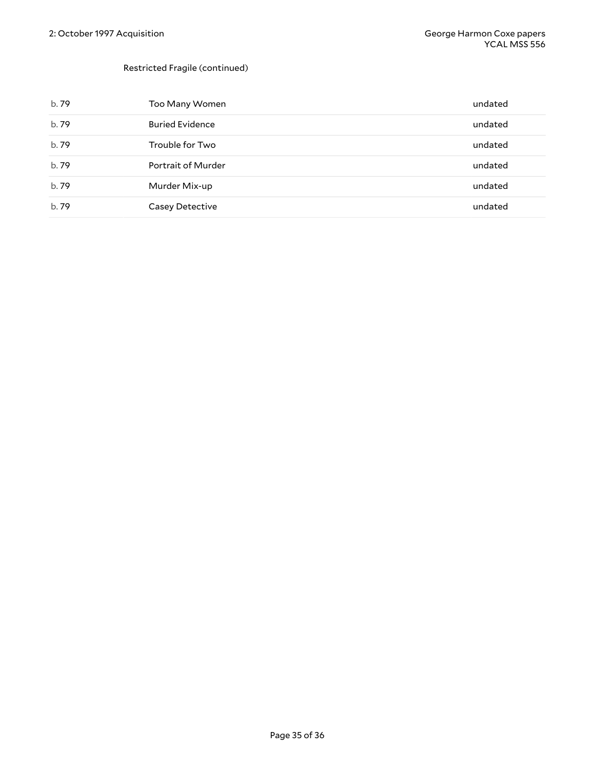#### Restricted Fragile (continued)

| b. 79 | Too Many Women         | undated |
|-------|------------------------|---------|
| b.79  | <b>Buried Evidence</b> | undated |
| b. 79 | Trouble for Two        | undated |
| b.79  | Portrait of Murder     | undated |
| b.79  | Murder Mix-up          | undated |
| b. 79 | Casey Detective        | undated |